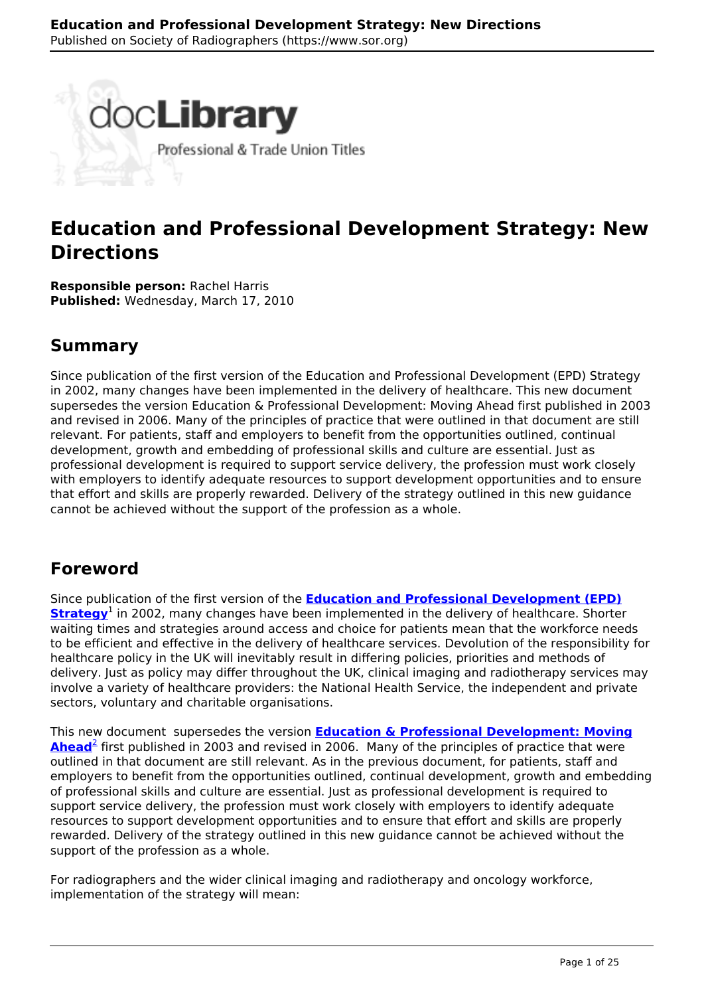

# **Education and Professional Development Strategy: New Directions**

**Responsible person:** Rachel Harris **Published:** Wednesday, March 17, 2010

## **Summary**

Since publication of the first version of the Education and Professional Development (EPD) Strategy in 2002, many changes have been implemented in the delivery of healthcare. This new document supersedes the version Education & Professional Development: Moving Ahead first published in 2003 and revised in 2006. Many of the principles of practice that were outlined in that document are still relevant. For patients, staff and employers to benefit from the opportunities outlined, continual development, growth and embedding of professional skills and culture are essential. Just as professional development is required to support service delivery, the profession must work closely with employers to identify adequate resources to support development opportunities and to ensure that effort and skills are properly rewarded. Delivery of the strategy outlined in this new guidance cannot be achieved without the support of the profession as a whole.

## **Foreword**

Since publication of the first version of the **[Education and Professional Development \(EPD\)](http://www.sor.org/learning/document-library?title=Strategy+Education+Professional+Development+Radiographers&show_archived=All) [Strategy](http://www.sor.org/learning/document-library?title=Strategy+Education+Professional+Development+Radiographers&show_archived=All)**<sup>1</sup> in 2002, many changes have been implemented in the delivery of healthcare. Shorter waiting times and strategies around access and choice for patients mean that the workforce needs to be efficient and effective in the delivery of healthcare services. Devolution of the responsibility for healthcare policy in the UK will inevitably result in differing policies, priorities and methods of delivery. Just as policy may differ throughout the UK, clinical imaging and radiotherapy services may involve a variety of healthcare providers: the National Health Service, the independent and private sectors, voluntary and charitable organisations.

This new document supersedes the version **Education & Professional Development: Moving Ahead**<sup>2</sup> first published in 2003 and revised in 2006. Many of the principles of practice that were outlined in that document are still relevant. As in the previous document, for patients, staff and employers to benefit from the opportunities outlined, continual development, growth and embedding of professional skills and culture are essential. Just as professional development is required to support service delivery, the profession must work closely with employers to identify adequate resources to support development opportunities and to ensure that effort and skills are properly rewarded. Delivery of the strategy outlined in this new guidance cannot be achieved without the support of the profession as a whole.

For radiographers and the wider clinical imaging and radiotherapy and oncology workforce, implementation of the strategy will mean: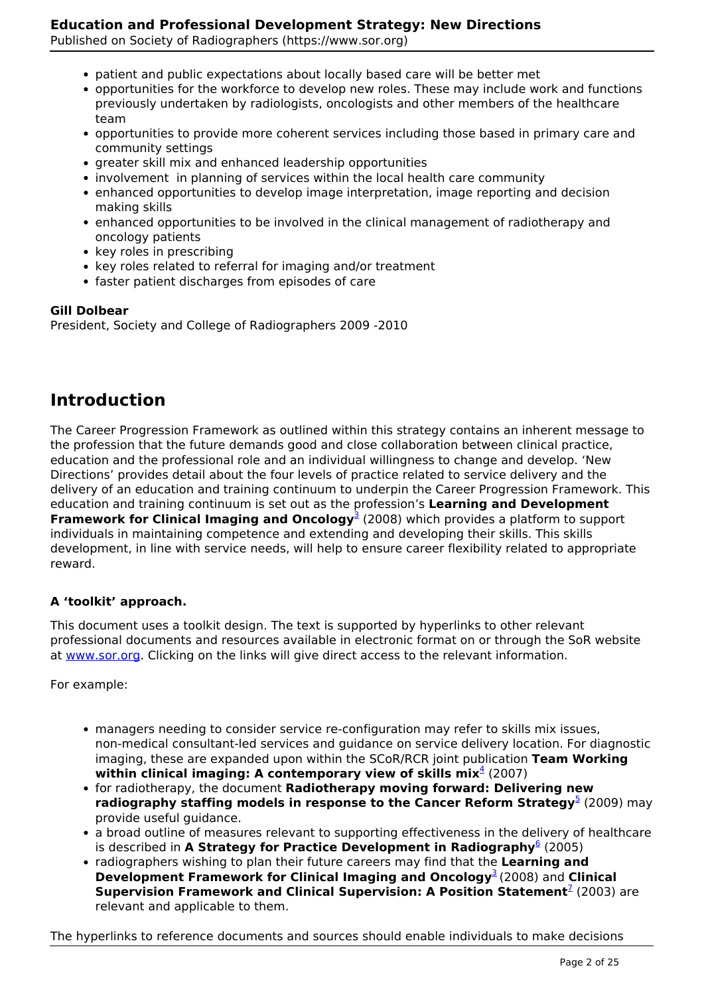Published on Society of Radiographers (https://www.sor.org)

- patient and public expectations about locally based care will be better met
- opportunities for the workforce to develop new roles. These may include work and functions previously undertaken by radiologists, oncologists and other members of the healthcare team
- opportunities to provide more coherent services including those based in primary care and community settings
- greater skill mix and enhanced leadership opportunities
- involvement in planning of services within the local health care community
- enhanced opportunities to develop image interpretation, image reporting and decision making skills
- enhanced opportunities to be involved in the clinical management of radiotherapy and oncology patients
- key roles in prescribing
- key roles related to referral for imaging and/or treatment
- faster patient discharges from episodes of care

## **Gill Dolbear**

President, Society and College of Radiographers 2009 -2010

## **Introduction**

The Career Progression Framework as outlined within this strategy contains an inherent message to the profession that the future demands good and close collaboration between clinical practice, education and the professional role and an individual willingness to change and develop. 'New Directions' provides detail about the four levels of practice related to service delivery and the delivery of an education and training continuum to underpin the Career Progression Framework. This education and training continuum is set out as the profession's **Learning and Development Framework for Clinical Imaging and Oncology**<sup>3</sup> (2008) which provides a platform to support individuals in maintaining competence and extending and developing their skills. This skills development, in line with service needs, will help to ensure career flexibility related to appropriate reward.

## **A 'toolkit' approach.**

This document uses a toolkit design. The text is supported by hyperlinks to other relevant professional documents and resources available in electronic format on or through the SoR website at www.sor.org. Clicking on the links will give direct access to the relevant information.

For example:

- managers needing to consider service re-configuration may refer to skills mix issues, non-medical consultant-led services and guidance on service delivery location. For diagnostic imaging, these are expanded upon within the SCoR/RCR joint publication **Team Working within clinical imaging: A contemporary view of skills mix**<sup>4</sup> (2007)
- for radiotherapy, the document **Radiotherapy moving forward: Delivering new radiography staffing models in response to the Cancer Reform Strategy<sup>5</sup> (2009) may** provide useful guidance.
- a broad outline of measures relevant to supporting effectiveness in the delivery of healthcare is described in A Strategy for Practice Development in Radiography<sup>6</sup> (2005)
- radiographers wishing to plan their future careers may find that the **Learning and Development Framework for Clinical Imaging and Oncology<sup>3</sup> (2008) and Clinical Supervision Framework and Clinical Supervision: A Position Statement<sup>7</sup> (2003) are** relevant and applicable to them.

The hyperlinks to reference documents and sources should enable individuals to make decisions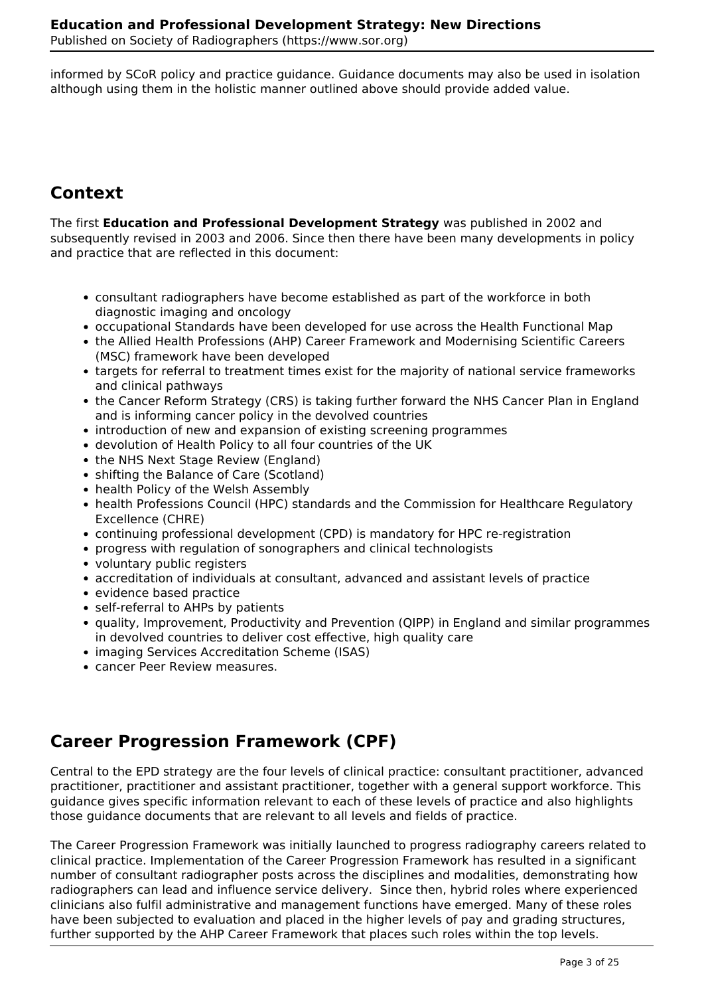informed by SCoR policy and practice guidance. Guidance documents may also be used in isolation although using them in the holistic manner outlined above should provide added value.

# **Context**

The first **Education and Professional Development Strategy** was published in 2002 and subsequently revised in 2003 and 2006. Since then there have been many developments in policy and practice that are reflected in this document:

- consultant radiographers have become established as part of the workforce in both diagnostic imaging and oncology
- occupational Standards have been developed for use across the Health Functional Map
- the Allied Health Professions (AHP) Career Framework and Modernising Scientific Careers (MSC) framework have been developed
- targets for referral to treatment times exist for the majority of national service frameworks and clinical pathways
- the Cancer Reform Strategy (CRS) is taking further forward the NHS Cancer Plan in England and is informing cancer policy in the devolved countries
- introduction of new and expansion of existing screening programmes
- devolution of Health Policy to all four countries of the UK
- the NHS Next Stage Review (England)
- shifting the Balance of Care (Scotland)
- health Policy of the Welsh Assembly
- health Professions Council (HPC) standards and the Commission for Healthcare Regulatory Excellence (CHRE)
- continuing professional development (CPD) is mandatory for HPC re-registration
- progress with regulation of sonographers and clinical technologists
- voluntary public registers
- accreditation of individuals at consultant, advanced and assistant levels of practice
- evidence based practice
- self-referral to AHPs by patients
- quality, Improvement, Productivity and Prevention (QIPP) in England and similar programmes in devolved countries to deliver cost effective, high quality care
- imaging Services Accreditation Scheme (ISAS)
- cancer Peer Review measures.

# **Career Progression Framework (CPF)**

Central to the EPD strategy are the four levels of clinical practice: consultant practitioner, advanced practitioner, practitioner and assistant practitioner, together with a general support workforce. This guidance gives specific information relevant to each of these levels of practice and also highlights those guidance documents that are relevant to all levels and fields of practice.

The Career Progression Framework was initially launched to progress radiography careers related to clinical practice. Implementation of the Career Progression Framework has resulted in a significant number of consultant radiographer posts across the disciplines and modalities, demonstrating how radiographers can lead and influence service delivery. Since then, hybrid roles where experienced clinicians also fulfil administrative and management functions have emerged. Many of these roles have been subjected to evaluation and placed in the higher levels of pay and grading structures, further supported by the AHP Career Framework that places such roles within the top levels.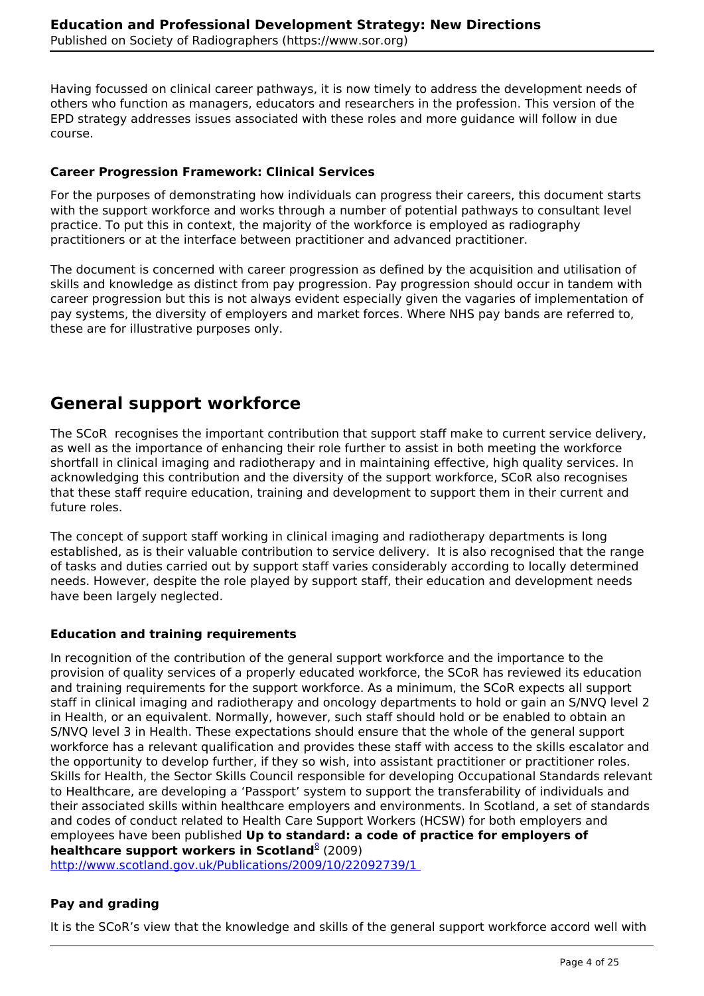Having focussed on clinical career pathways, it is now timely to address the development needs of others who function as managers, educators and researchers in the profession. This version of the EPD strategy addresses issues associated with these roles and more guidance will follow in due course.

## **Career Progression Framework: Clinical Services**

For the purposes of demonstrating how individuals can progress their careers, this document starts with the support workforce and works through a number of potential pathways to consultant level practice. To put this in context, the majority of the workforce is employed as radiography practitioners or at the interface between practitioner and advanced practitioner.

The document is concerned with career progression as defined by the acquisition and utilisation of skills and knowledge as distinct from pay progression. Pay progression should occur in tandem with career progression but this is not always evident especially given the vagaries of implementation of pay systems, the diversity of employers and market forces. Where NHS pay bands are referred to, these are for illustrative purposes only.

## **General support workforce**

The SCoR recognises the important contribution that support staff make to current service delivery, as well as the importance of enhancing their role further to assist in both meeting the workforce shortfall in clinical imaging and radiotherapy and in maintaining effective, high quality services. In acknowledging this contribution and the diversity of the support workforce, SCoR also recognises that these staff require education, training and development to support them in their current and future roles.

The concept of support staff working in clinical imaging and radiotherapy departments is long established, as is their valuable contribution to service delivery. It is also recognised that the range of tasks and duties carried out by support staff varies considerably according to locally determined needs. However, despite the role played by support staff, their education and development needs have been largely neglected.

## **Education and training requirements**

In recognition of the contribution of the general support workforce and the importance to the provision of quality services of a properly educated workforce, the SCoR has reviewed its education and training requirements for the support workforce. As a minimum, the SCoR expects all support staff in clinical imaging and radiotherapy and oncology departments to hold or gain an S/NVQ level 2 in Health, or an equivalent. Normally, however, such staff should hold or be enabled to obtain an S/NVQ level 3 in Health. These expectations should ensure that the whole of the general support workforce has a relevant qualification and provides these staff with access to the skills escalator and the opportunity to develop further, if they so wish, into assistant practitioner or practitioner roles. Skills for Health, the Sector Skills Council responsible for developing Occupational Standards relevant to Healthcare, are developing a 'Passport' system to support the transferability of individuals and their associated skills within healthcare employers and environments. In Scotland, a set of standards and codes of conduct related to Health Care Support Workers (HCSW) for both employers and employees have been published **Up to standard: a code of practice for employers of healthcare support workers in Scotland**<sup>8</sup> (2009)

http://www.scotland.gov.uk/Publications/2009/10/22092739/1

## **Pay and grading**

It is the SCoR's view that the knowledge and skills of the general support workforce accord well with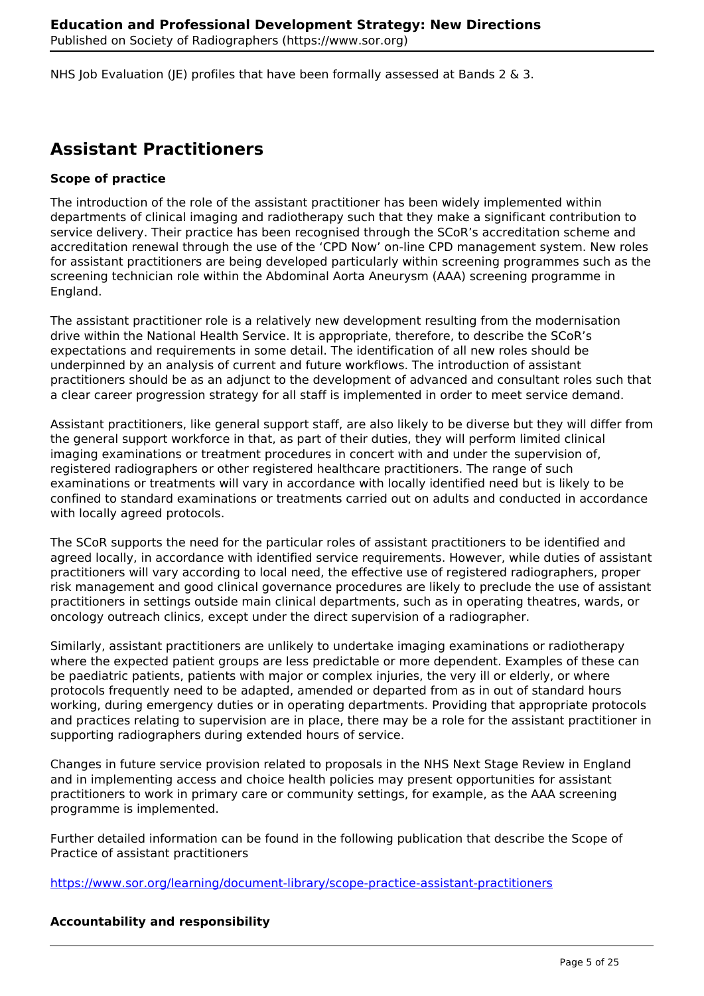NHS Job Evaluation (JE) profiles that have been formally assessed at Bands 2  $\&$  3.

## **Assistant Practitioners**

## **Scope of practice**

The introduction of the role of the assistant practitioner has been widely implemented within departments of clinical imaging and radiotherapy such that they make a significant contribution to service delivery. Their practice has been recognised through the SCoR's accreditation scheme and accreditation renewal through the use of the 'CPD Now' on-line CPD management system. New roles for assistant practitioners are being developed particularly within screening programmes such as the screening technician role within the Abdominal Aorta Aneurysm (AAA) screening programme in England.

The assistant practitioner role is a relatively new development resulting from the modernisation drive within the National Health Service. It is appropriate, therefore, to describe the SCoR's expectations and requirements in some detail. The identification of all new roles should be underpinned by an analysis of current and future workflows. The introduction of assistant practitioners should be as an adjunct to the development of advanced and consultant roles such that a clear career progression strategy for all staff is implemented in order to meet service demand.

Assistant practitioners, like general support staff, are also likely to be diverse but they will differ from the general support workforce in that, as part of their duties, they will perform limited clinical imaging examinations or treatment procedures in concert with and under the supervision of, registered radiographers or other registered healthcare practitioners. The range of such examinations or treatments will vary in accordance with locally identified need but is likely to be confined to standard examinations or treatments carried out on adults and conducted in accordance with locally agreed protocols.

The SCoR supports the need for the particular roles of assistant practitioners to be identified and agreed locally, in accordance with identified service requirements. However, while duties of assistant practitioners will vary according to local need, the effective use of registered radiographers, proper risk management and good clinical governance procedures are likely to preclude the use of assistant practitioners in settings outside main clinical departments, such as in operating theatres, wards, or oncology outreach clinics, except under the direct supervision of a radiographer.

Similarly, assistant practitioners are unlikely to undertake imaging examinations or radiotherapy where the expected patient groups are less predictable or more dependent. Examples of these can be paediatric patients, patients with major or complex injuries, the very ill or elderly, or where protocols frequently need to be adapted, amended or departed from as in out of standard hours working, during emergency duties or in operating departments. Providing that appropriate protocols and practices relating to supervision are in place, there may be a role for the assistant practitioner in supporting radiographers during extended hours of service.

Changes in future service provision related to proposals in the NHS Next Stage Review in England and in implementing access and choice health policies may present opportunities for assistant practitioners to work in primary care or community settings, for example, as the AAA screening programme is implemented.

Further detailed information can be found in the following publication that describe the Scope of Practice of assistant practitioners

https://www.sor.org/learning/document-library/scope-practice-assistant-practitioners

## **Accountability and responsibility**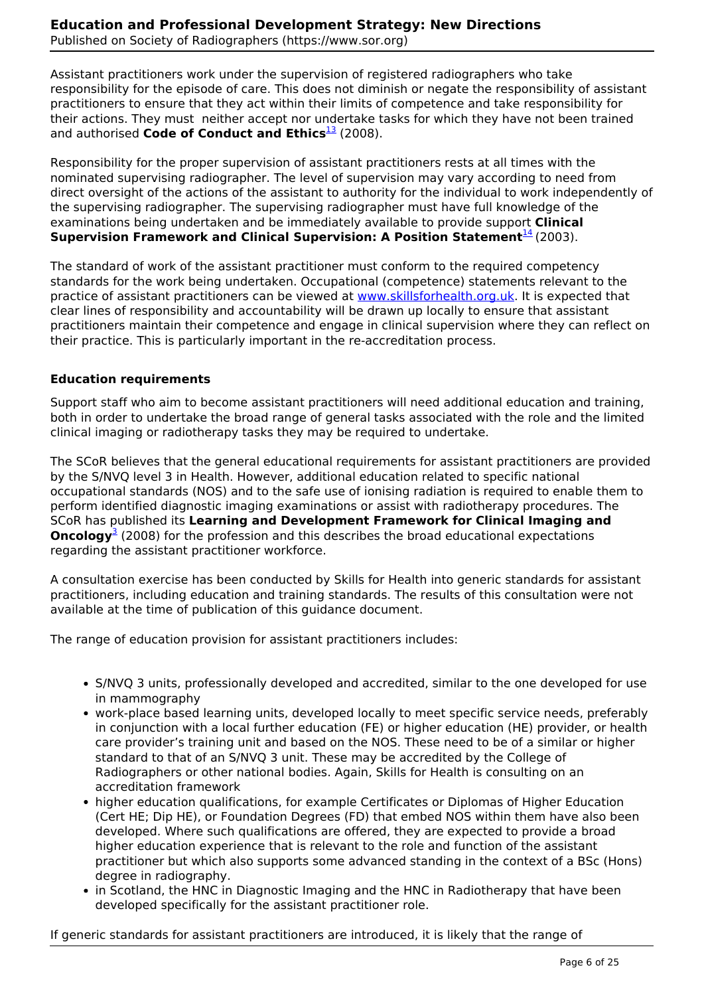Assistant practitioners work under the supervision of registered radiographers who take responsibility for the episode of care. This does not diminish or negate the responsibility of assistant practitioners to ensure that they act within their limits of competence and take responsibility for their actions. They must neither accept nor undertake tasks for which they have not been trained and authorised **Code of Conduct and Ethics**<sup>13</sup> (2008).

Responsibility for the proper supervision of assistant practitioners rests at all times with the nominated supervising radiographer. The level of supervision may vary according to need from direct oversight of the actions of the assistant to authority for the individual to work independently of the supervising radiographer. The supervising radiographer must have full knowledge of the examinations being undertaken and be immediately available to provide support **Clinical Supervision Framework and Clinical Supervision: A Position Statement**<sup>14</sup> (2003).

The standard of work of the assistant practitioner must conform to the required competency standards for the work being undertaken. Occupational (competence) statements relevant to the practice of assistant practitioners can be viewed at www.skillsforhealth.org.uk. It is expected that clear lines of responsibility and accountability will be drawn up locally to ensure that assistant practitioners maintain their competence and engage in clinical supervision where they can reflect on their practice. This is particularly important in the re-accreditation process.

## **Education requirements**

Support staff who aim to become assistant practitioners will need additional education and training, both in order to undertake the broad range of general tasks associated with the role and the limited clinical imaging or radiotherapy tasks they may be required to undertake.

The SCoR believes that the general educational requirements for assistant practitioners are provided by the S/NVQ level 3 in Health. However, additional education related to specific national occupational standards (NOS) and to the safe use of ionising radiation is required to enable them to perform identified diagnostic imaging examinations or assist with radiotherapy procedures. The SCoR has published its **Learning and Development Framework for Clinical Imaging and Oncology**<sup>3</sup> (2008) for the profession and this describes the broad educational expectations regarding the assistant practitioner workforce.

A consultation exercise has been conducted by Skills for Health into generic standards for assistant practitioners, including education and training standards. The results of this consultation were not available at the time of publication of this guidance document.

The range of education provision for assistant practitioners includes:

- S/NVQ 3 units, professionally developed and accredited, similar to the one developed for use in mammography
- work-place based learning units, developed locally to meet specific service needs, preferably in conjunction with a local further education (FE) or higher education (HE) provider, or health care provider's training unit and based on the NOS. These need to be of a similar or higher standard to that of an S/NVQ 3 unit. These may be accredited by the College of Radiographers or other national bodies. Again, Skills for Health is consulting on an accreditation framework
- higher education qualifications, for example Certificates or Diplomas of Higher Education (Cert HE; Dip HE), or Foundation Degrees (FD) that embed NOS within them have also been developed. Where such qualifications are offered, they are expected to provide a broad higher education experience that is relevant to the role and function of the assistant practitioner but which also supports some advanced standing in the context of a BSc (Hons) degree in radiography.
- in Scotland, the HNC in Diagnostic Imaging and the HNC in Radiotherapy that have been developed specifically for the assistant practitioner role.

If generic standards for assistant practitioners are introduced, it is likely that the range of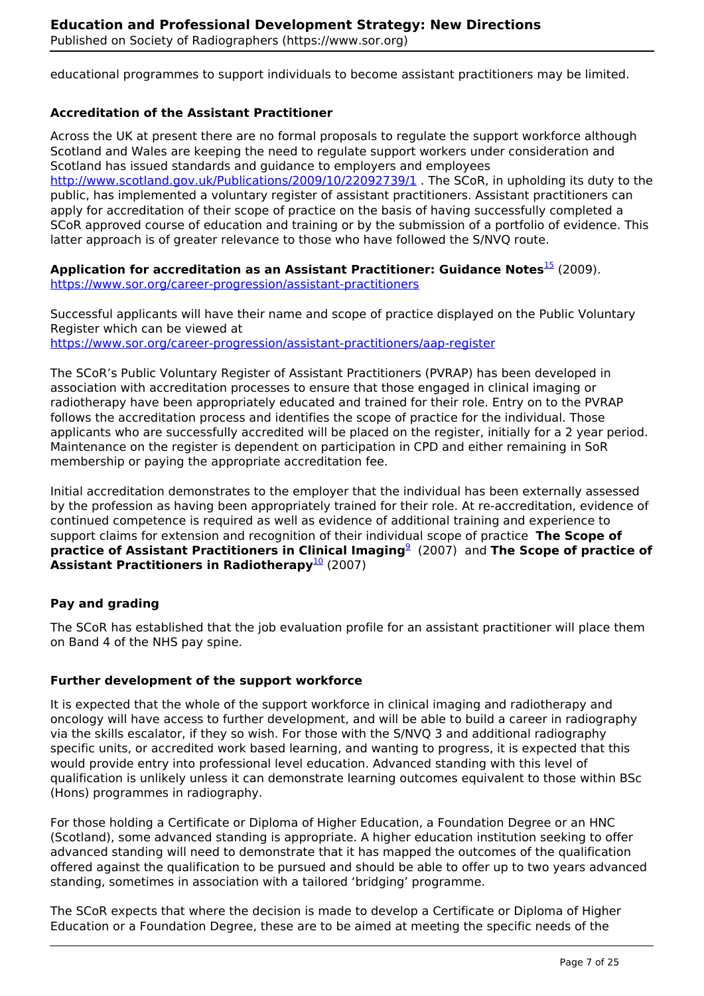educational programmes to support individuals to become assistant practitioners may be limited.

#### **Accreditation of the Assistant Practitioner**

Across the UK at present there are no formal proposals to regulate the support workforce although Scotland and Wales are keeping the need to regulate support workers under consideration and Scotland has issued standards and guidance to employers and employees http://www.scotland.gov.uk/Publications/2009/10/22092739/1. The SCoR, in upholding its duty to the public, has implemented a voluntary register of assistant practitioners. Assistant practitioners can apply for accreditation of their scope of practice on the basis of having successfully completed a SCoR approved course of education and training or by the submission of a portfolio of evidence. This latter approach is of greater relevance to those who have followed the S/NVQ route.

Application for accreditation as an Assistant Practitioner: Guidance Notes<sup>15</sup> (2009). https://www.sor.org/career-progression/assistant-practitioners

Successful applicants will have their name and scope of practice displayed on the Public Voluntary Register which can be viewed at https://www.sor.org/career-progression/assistant-practitioners/aap-register

The SCoR's Public Voluntary Register of Assistant Practitioners (PVRAP) has been developed in association with accreditation processes to ensure that those engaged in clinical imaging or radiotherapy have been appropriately educated and trained for their role. Entry on to the PVRAP follows the accreditation process and identifies the scope of practice for the individual. Those applicants who are successfully accredited will be placed on the register, initially for a 2 year period. Maintenance on the register is dependent on participation in CPD and either remaining in SoR membership or paying the appropriate accreditation fee.

Initial accreditation demonstrates to the employer that the individual has been externally assessed by the profession as having been appropriately trained for their role. At re-accreditation, evidence of continued competence is required as well as evidence of additional training and experience to support claims for extension and recognition of their individual scope of practice **The Scope of practice of Assistant Practitioners in Clinical Imaging**<sup>9</sup> (2007) and **The Scope of practice of Assistant Practitioners in Radiotherapy**<sup>10</sup> (2007)

#### **Pay and grading**

The SCoR has established that the job evaluation profile for an assistant practitioner will place them on Band 4 of the NHS pay spine.

#### **Further development of the support workforce**

It is expected that the whole of the support workforce in clinical imaging and radiotherapy and oncology will have access to further development, and will be able to build a career in radiography via the skills escalator, if they so wish. For those with the S/NVQ 3 and additional radiography specific units, or accredited work based learning, and wanting to progress, it is expected that this would provide entry into professional level education. Advanced standing with this level of qualification is unlikely unless it can demonstrate learning outcomes equivalent to those within BSc (Hons) programmes in radiography.

For those holding a Certificate or Diploma of Higher Education, a Foundation Degree or an HNC (Scotland), some advanced standing is appropriate. A higher education institution seeking to offer advanced standing will need to demonstrate that it has mapped the outcomes of the qualification offered against the qualification to be pursued and should be able to offer up to two years advanced standing, sometimes in association with a tailored 'bridging' programme.

The SCoR expects that where the decision is made to develop a Certificate or Diploma of Higher Education or a Foundation Degree, these are to be aimed at meeting the specific needs of the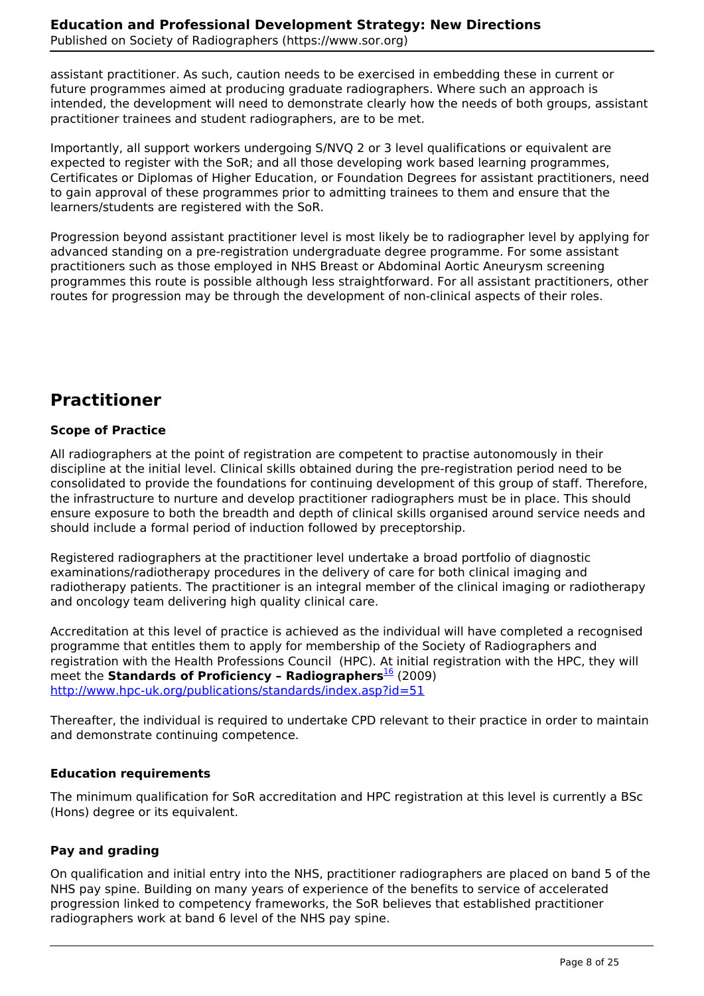assistant practitioner. As such, caution needs to be exercised in embedding these in current or future programmes aimed at producing graduate radiographers. Where such an approach is intended, the development will need to demonstrate clearly how the needs of both groups, assistant practitioner trainees and student radiographers, are to be met.

Importantly, all support workers undergoing S/NVQ 2 or 3 level qualifications or equivalent are expected to register with the SoR; and all those developing work based learning programmes, Certificates or Diplomas of Higher Education, or Foundation Degrees for assistant practitioners, need to gain approval of these programmes prior to admitting trainees to them and ensure that the learners/students are registered with the SoR.

Progression beyond assistant practitioner level is most likely be to radiographer level by applying for advanced standing on a pre-registration undergraduate degree programme. For some assistant practitioners such as those employed in NHS Breast or Abdominal Aortic Aneurysm screening programmes this route is possible although less straightforward. For all assistant practitioners, other routes for progression may be through the development of non-clinical aspects of their roles.

# **Practitioner**

## **Scope of Practice**

All radiographers at the point of registration are competent to practise autonomously in their discipline at the initial level. Clinical skills obtained during the pre-registration period need to be consolidated to provide the foundations for continuing development of this group of staff. Therefore, the infrastructure to nurture and develop practitioner radiographers must be in place. This should ensure exposure to both the breadth and depth of clinical skills organised around service needs and should include a formal period of induction followed by preceptorship.

Registered radiographers at the practitioner level undertake a broad portfolio of diagnostic examinations/radiotherapy procedures in the delivery of care for both clinical imaging and radiotherapy patients. The practitioner is an integral member of the clinical imaging or radiotherapy and oncology team delivering high quality clinical care.

Accreditation at this level of practice is achieved as the individual will have completed a recognised programme that entitles them to apply for membership of the Society of Radiographers and registration with the Health Professions Council (HPC). At initial registration with the HPC, they will meet the **Standards of Proficiency - Radiographers**<sup>16</sup> (2009) http://www.hpc-uk.org/publications/standards/index.asp?id=51

Thereafter, the individual is required to undertake CPD relevant to their practice in order to maintain and demonstrate continuing competence.

## **Education requirements**

The minimum qualification for SoR accreditation and HPC registration at this level is currently a BSc (Hons) degree or its equivalent.

## **Pay and grading**

On qualification and initial entry into the NHS, practitioner radiographers are placed on band 5 of the NHS pay spine. Building on many years of experience of the benefits to service of accelerated progression linked to competency frameworks, the SoR believes that established practitioner radiographers work at band 6 level of the NHS pay spine.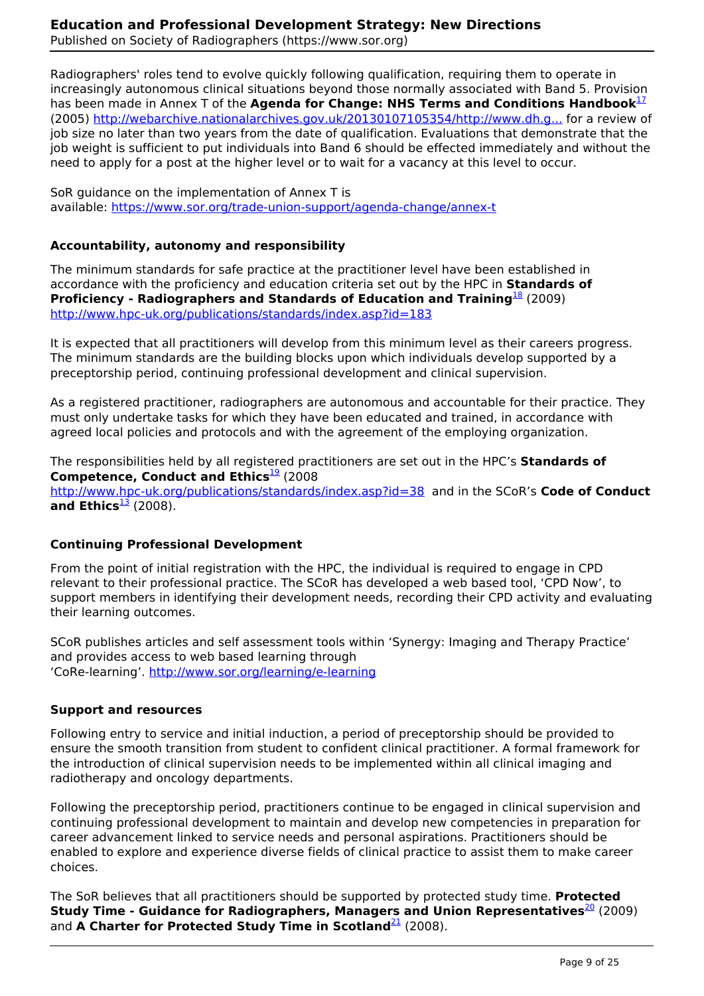Radiographers' roles tend to evolve quickly following qualification, requiring them to operate in increasingly autonomous clinical situations beyond those normally associated with Band 5. Provision has been made in Annex T of the **Agenda for Change: NHS Terms and Conditions Handbook**<sup>17</sup> (2005) http://webarchive.nationalarchives.gov.uk/20130107105354/http://www.dh.g... for a review of job size no later than two years from the date of qualification. Evaluations that demonstrate that the job weight is sufficient to put individuals into Band 6 should be effected immediately and without the need to apply for a post at the higher level or to wait for a vacancy at this level to occur.

SoR guidance on the implementation of Annex T is available: https://www.sor.org/trade-union-support/agenda-change/annex-t

#### **Accountability, autonomy and responsibility**

The minimum standards for safe practice at the practitioner level have been established in accordance with the proficiency and education criteria set out by the HPC in **Standards of Proficiency - Radiographers and Standards of Education and Training**<sup>18</sup> (2009) http://www.hpc-uk.org/publications/standards/index.asp?id=183

It is expected that all practitioners will develop from this minimum level as their careers progress. The minimum standards are the building blocks upon which individuals develop supported by a preceptorship period, continuing professional development and clinical supervision.

As a registered practitioner, radiographers are autonomous and accountable for their practice. They must only undertake tasks for which they have been educated and trained, in accordance with agreed local policies and protocols and with the agreement of the employing organization.

The responsibilities held by all registered practitioners are set out in the HPC's **Standards of Competence, Conduct and Ethics**<sup>19</sup> (2008) http://www.hpc-uk.org/publications/standards/index.asp?id=38 and in the SCoR's **Code of Conduct** and Ethics $\frac{13}{2}$  (2008).

#### **Continuing Professional Development**

From the point of initial registration with the HPC, the individual is required to engage in CPD relevant to their professional practice. The SCoR has developed a web based tool, 'CPD Now', to support members in identifying their development needs, recording their CPD activity and evaluating their learning outcomes.

SCoR publishes articles and self assessment tools within 'Synergy: Imaging and Therapy Practice' and provides access to web based learning through 'CoRe-learning'. http://www.sor.org/learning/e-learning

#### **Support and resources**

Following entry to service and initial induction, a period of preceptorship should be provided to ensure the smooth transition from student to confident clinical practitioner. A formal framework for the introduction of clinical supervision needs to be implemented within all clinical imaging and radiotherapy and oncology departments.

Following the preceptorship period, practitioners continue to be engaged in clinical supervision and continuing professional development to maintain and develop new competencies in preparation for career advancement linked to service needs and personal aspirations. Practitioners should be enabled to explore and experience diverse fields of clinical practice to assist them to make career choices.

The SoR believes that all practitioners should be supported by protected study time. **Protected Study Time - Guidance for Radiographers, Managers and Union Representatives<sup>20</sup> (2009)** and **A Charter for Protected Study Time in Scotland**<sup>21</sup> (2008).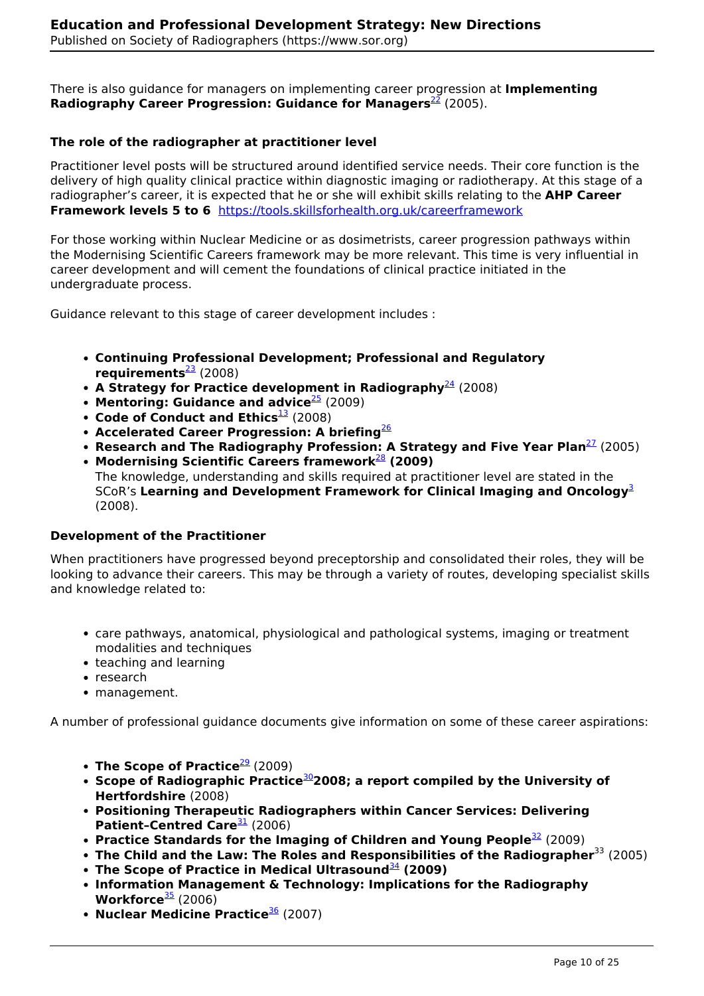There is also guidance for managers on implementing career progression at **Implementing Radiography Career Progression: Guidance for Managers<sup>22</sup> (2005).** 

## **The role of the radiographer at practitioner level**

Practitioner level posts will be structured around identified service needs. Their core function is the delivery of high quality clinical practice within diagnostic imaging or radiotherapy. At this stage of a radiographer's career, it is expected that he or she will exhibit skills relating to the **AHP Career Framework levels 5 to 6** https://tools.skillsforhealth.org.uk/careerframework

For those working within Nuclear Medicine or as dosimetrists, career progression pathways within the Modernising Scientific Careers framework may be more relevant. This time is very influential in career development and will cement the foundations of clinical practice initiated in the undergraduate process.

Guidance relevant to this stage of career development includes :

- **Continuing Professional Development; Professional and Regulatory requirements**<sup>23</sup> (2008)
- **A Strategy for Practice development in Radiography**  $^{24}$  (2008)
- **Mentoring: Guidance and advice**<sup>25</sup> (2009)
- **Code of Conduct and Ethics**<sup>13</sup> (2008)
- **Accelerated Career Progression: A briefing**<sup>26</sup>
- **Research and The Radiography Profession: A Strategy and Five Year Plan<sup>27</sup> (2005)**
- **Modernising Scientific Careers framework**<sup>28</sup> **(2009)**  The knowledge, understanding and skills required at practitioner level are stated in the SCoR's **Learning and Development Framework for Clinical Imaging and Oncology**<sup>3</sup> (2008).

## **Development of the Practitioner**

When practitioners have progressed beyond preceptorship and consolidated their roles, they will be looking to advance their careers. This may be through a variety of routes, developing specialist skills and knowledge related to:

- care pathways, anatomical, physiological and pathological systems, imaging or treatment modalities and techniques
- teaching and learning
- research
- management.

A number of professional guidance documents give information on some of these career aspirations:

- **The Scope of Practice**<sup>29</sup> (2009)
- **Scope of Radiographic Practice**<sup>30</sup>**2008; a report compiled by the University of Hertfordshire** (2008)
- **Positioning Therapeutic Radiographers within Cancer Services: Delivering Patient-Centred Care**<sup>31</sup> (2006)
- **Practice Standards for the Imaging of Children and Young People**<sup>32</sup> (2009)
- **The Child and the Law: The Roles and Responsibilities of the Radiographer**<sup>33</sup> (2005)
- **The Scope of Practice in Medical Ultrasound**<sup>34</sup> **(2009)**
- **Information Management & Technology: Implications for the Radiography Workforce**<sup>35</sup> (2006)
- **Nuclear Medicine Practice**<sup>36</sup> (2007)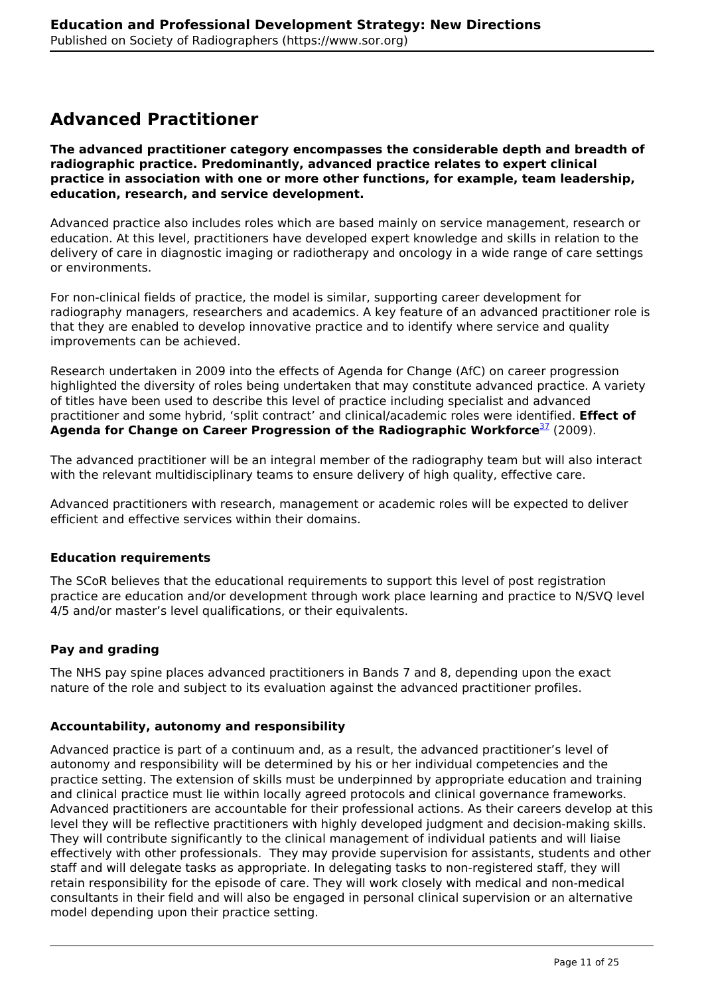## **Advanced Practitioner**

**The advanced practitioner category encompasses the considerable depth and breadth of radiographic practice. Predominantly, advanced practice relates to expert clinical practice in association with one or more other functions, for example, team leadership, education, research, and service development.** 

Advanced practice also includes roles which are based mainly on service management, research or education. At this level, practitioners have developed expert knowledge and skills in relation to the delivery of care in diagnostic imaging or radiotherapy and oncology in a wide range of care settings or environments.

For non-clinical fields of practice, the model is similar, supporting career development for radiography managers, researchers and academics. A key feature of an advanced practitioner role is that they are enabled to develop innovative practice and to identify where service and quality improvements can be achieved.

Research undertaken in 2009 into the effects of Agenda for Change (AfC) on career progression highlighted the diversity of roles being undertaken that may constitute advanced practice. A variety of titles have been used to describe this level of practice including specialist and advanced practitioner and some hybrid, 'split contract' and clinical/academic roles were identified. **Effect of** Agenda for Change on Career Progression of the Radiographic Workforce<sup>37</sup> (2009).

The advanced practitioner will be an integral member of the radiography team but will also interact with the relevant multidisciplinary teams to ensure delivery of high quality, effective care.

Advanced practitioners with research, management or academic roles will be expected to deliver efficient and effective services within their domains.

## **Education requirements**

The SCoR believes that the educational requirements to support this level of post registration practice are education and/or development through work place learning and practice to N/SVQ level 4/5 and/or master's level qualifications, or their equivalents.

## **Pay and grading**

The NHS pay spine places advanced practitioners in Bands 7 and 8, depending upon the exact nature of the role and subject to its evaluation against the advanced practitioner profiles.

#### **Accountability, autonomy and responsibility**

Advanced practice is part of a continuum and, as a result, the advanced practitioner's level of autonomy and responsibility will be determined by his or her individual competencies and the practice setting. The extension of skills must be underpinned by appropriate education and training and clinical practice must lie within locally agreed protocols and clinical governance frameworks. Advanced practitioners are accountable for their professional actions. As their careers develop at this level they will be reflective practitioners with highly developed judgment and decision-making skills. They will contribute significantly to the clinical management of individual patients and will liaise effectively with other professionals. They may provide supervision for assistants, students and other staff and will delegate tasks as appropriate. In delegating tasks to non-registered staff, they will retain responsibility for the episode of care. They will work closely with medical and non-medical consultants in their field and will also be engaged in personal clinical supervision or an alternative model depending upon their practice setting.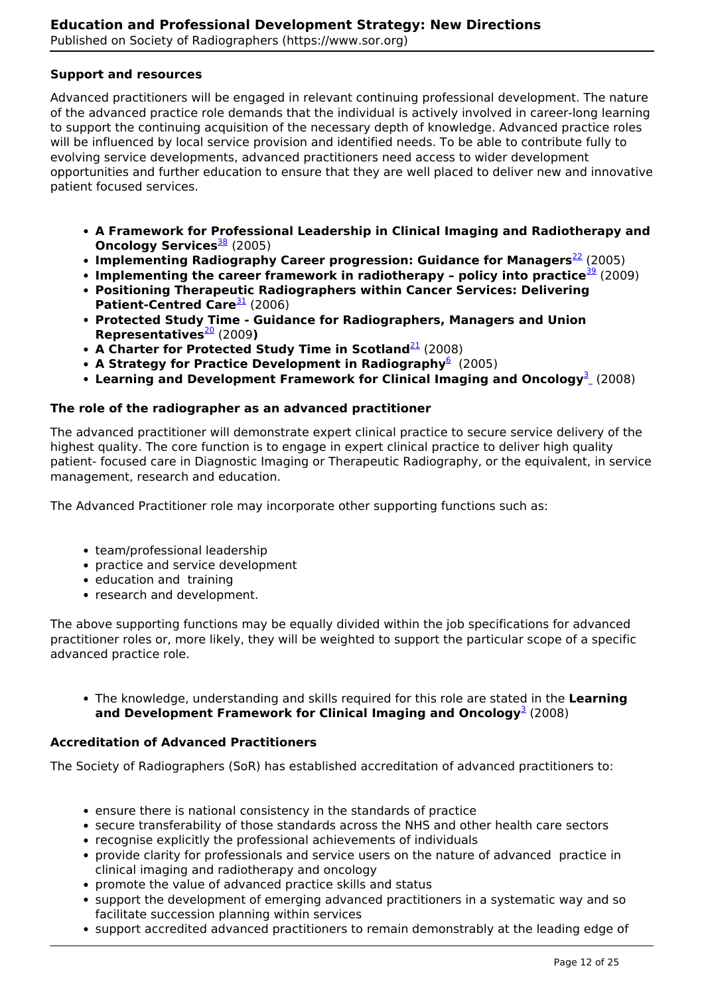#### **Support and resources**

Advanced practitioners will be engaged in relevant continuing professional development. The nature of the advanced practice role demands that the individual is actively involved in career-long learning to support the continuing acquisition of the necessary depth of knowledge. Advanced practice roles will be influenced by local service provision and identified needs. To be able to contribute fully to evolving service developments, advanced practitioners need access to wider development opportunities and further education to ensure that they are well placed to deliver new and innovative patient focused services.

- **A Framework for Professional Leadership in Clinical Imaging and Radiotherapy and Oncology Services**<sup>38</sup> (2005)
- **Implementing Radiography Career progression: Guidance for Managers<sup>22</sup> (2005)**
- **Implementing the career framework in radiotherapy policy into practice<sup>39</sup> (2009)**
- **Positioning Therapeutic Radiographers within Cancer Services: Delivering** Patient-Centred Care<sup>31</sup> (2006)
- **Protected Study Time Guidance for Radiographers, Managers and Union Representatives**<sup>20</sup> (2009**)**
- **A Charter for Protected Study Time in Scotland**<sup>21</sup> (2008)
- **A Strategy for Practice Development in Radiography**<sup>6</sup> (2005)
- Learning and Development Framework for Clinical Imaging and Oncology<sup>3</sup><sub>-</sub> (2008)

#### **The role of the radiographer as an advanced practitioner**

The advanced practitioner will demonstrate expert clinical practice to secure service delivery of the highest quality. The core function is to engage in expert clinical practice to deliver high quality patient- focused care in Diagnostic Imaging or Therapeutic Radiography, or the equivalent, in service management, research and education.

The Advanced Practitioner role may incorporate other supporting functions such as:

- team/professional leadership
- practice and service development
- education and training
- research and development.

The above supporting functions may be equally divided within the job specifications for advanced practitioner roles or, more likely, they will be weighted to support the particular scope of a specific advanced practice role.

The knowledge, understanding and skills required for this role are stated in the **Learning** and Development Framework for Clinical Imaging and Oncology<sup>3</sup> (2008)

#### **Accreditation of Advanced Practitioners**

The Society of Radiographers (SoR) has established accreditation of advanced practitioners to:

- ensure there is national consistency in the standards of practice
- secure transferability of those standards across the NHS and other health care sectors
- recognise explicitly the professional achievements of individuals
- provide clarity for professionals and service users on the nature of advanced practice in clinical imaging and radiotherapy and oncology
- promote the value of advanced practice skills and status
- support the development of emerging advanced practitioners in a systematic way and so facilitate succession planning within services
- support accredited advanced practitioners to remain demonstrably at the leading edge of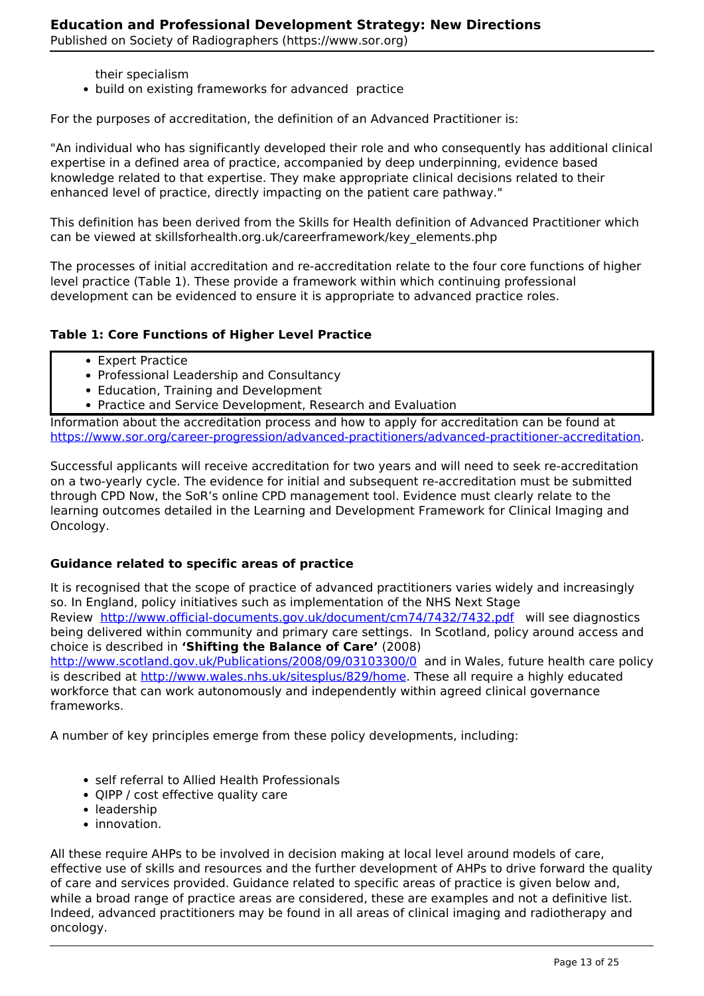- their specialism
- build on existing frameworks for advanced practice

For the purposes of accreditation, the definition of an Advanced Practitioner is:

"An individual who has significantly developed their role and who consequently has additional clinical expertise in a defined area of practice, accompanied by deep underpinning, evidence based knowledge related to that expertise. They make appropriate clinical decisions related to their enhanced level of practice, directly impacting on the patient care pathway."

This definition has been derived from the Skills for Health definition of Advanced Practitioner which can be viewed at skillsforhealth.org.uk/careerframework/key\_elements.php

The processes of initial accreditation and re-accreditation relate to the four core functions of higher level practice (Table 1). These provide a framework within which continuing professional development can be evidenced to ensure it is appropriate to advanced practice roles.

#### **Table 1: Core Functions of Higher Level Practice**

- Expert Practice
- Professional Leadership and Consultancy
- Education, Training and Development
- Practice and Service Development, Research and Evaluation

Information about the accreditation process and how to apply for accreditation can be found at https://www.sor.org/career-progression/advanced-practitioners/advanced-practitioner-accreditation.

Successful applicants will receive accreditation for two years and will need to seek re-accreditation on a two-yearly cycle. The evidence for initial and subsequent re-accreditation must be submitted through CPD Now, the SoR's online CPD management tool. Evidence must clearly relate to the learning outcomes detailed in the Learning and Development Framework for Clinical Imaging and Oncology.

#### **Guidance related to specific areas of practice**

It is recognised that the scope of practice of advanced practitioners varies widely and increasingly so. In England, policy initiatives such as implementation of the NHS Next Stage Review http://www.official-documents.gov.uk/document/cm74/7432/7432.pdf will see diagnostics being delivered within community and primary care settings. In Scotland, policy around access and choice is described in **'Shifting the Balance of Care'** (2008) http://www.scotland.gov.uk/Publications/2008/09/03103300/0 and in Wales, future health care policy is described at http://www.wales.nhs.uk/sitesplus/829/home. These all require a highly educated workforce that can work autonomously and independently within agreed clinical governance frameworks.

A number of key principles emerge from these policy developments, including:

- self referral to Allied Health Professionals
- QIPP / cost effective quality care
- leadership
- innovation.

All these require AHPs to be involved in decision making at local level around models of care, effective use of skills and resources and the further development of AHPs to drive forward the quality of care and services provided. Guidance related to specific areas of practice is given below and, while a broad range of practice areas are considered, these are examples and not a definitive list. Indeed, advanced practitioners may be found in all areas of clinical imaging and radiotherapy and oncology.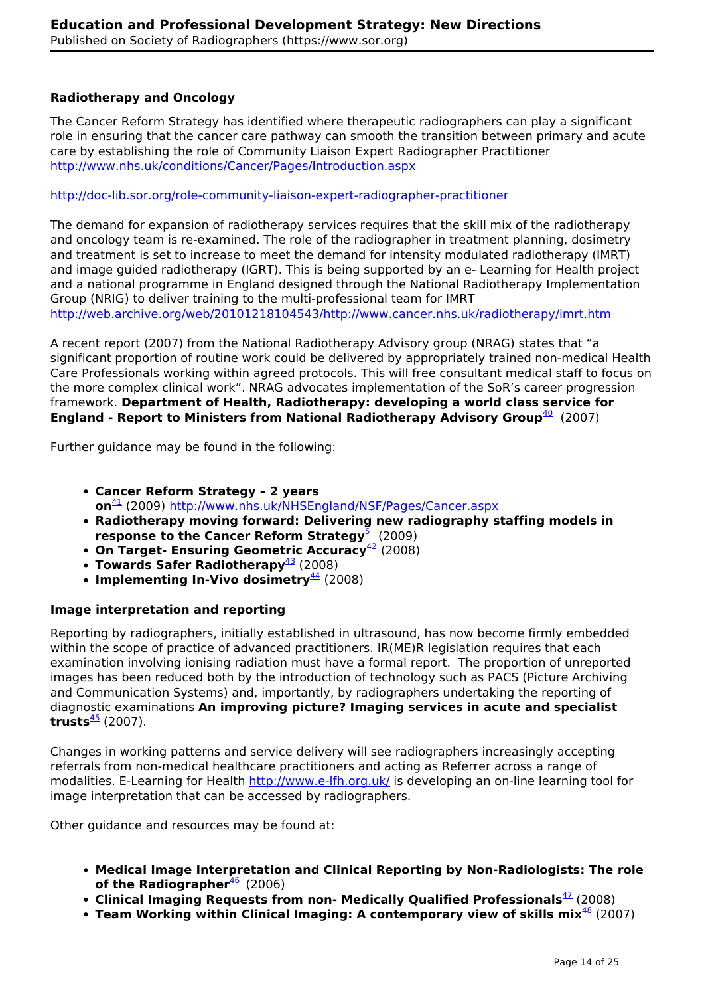## **Radiotherapy and Oncology**

The Cancer Reform Strategy has identified where therapeutic radiographers can play a significant role in ensuring that the cancer care pathway can smooth the transition between primary and acute care by establishing the role of Community Liaison Expert Radiographer Practitioner http://www.nhs.uk/conditions/Cancer/Pages/Introduction.aspx

http://doc-lib.sor.org/role-community-liaison-expert-radiographer-practitioner

The demand for expansion of radiotherapy services requires that the skill mix of the radiotherapy and oncology team is re-examined. The role of the radiographer in treatment planning, dosimetry and treatment is set to increase to meet the demand for intensity modulated radiotherapy (IMRT) and image guided radiotherapy (IGRT). This is being supported by an e- Learning for Health project and a national programme in England designed through the National Radiotherapy Implementation Group (NRIG) to deliver training to the multi-professional team for IMRT http://web.archive.org/web/20101218104543/http://www.cancer.nhs.uk/radiotherapy/imrt.htm

A recent report (2007) from the National Radiotherapy Advisory group (NRAG) states that "a significant proportion of routine work could be delivered by appropriately trained non-medical Health Care Professionals working within agreed protocols. This will free consultant medical staff to focus on the more complex clinical work". NRAG advocates implementation of the SoR's career progression framework. **Department of Health, Radiotherapy: developing a world class service for England - Report to Ministers from National Radiotherapy Advisory Group**<sup>40</sup> (2007)

Further guidance may be found in the following:

- **Cancer Reform Strategy 2 years on**<sup>41</sup> (2009) http://www.nhs.uk/NHSEngland/NSF/Pages/Cancer.aspx
- **Radiotherapy moving forward: Delivering new radiography staffing models in response to the Cancer Reform Strategy<sup>5</sup> (2009)**
- **On Target- Ensuring Geometric Accuracy**<sup>42</sup> (2008)
- **Towards Safer Radiotherapy**<sup>43</sup> (2008)
- **Implementing In-Vivo dosimetry**<sup>44</sup> (2008)

## **Image interpretation and reporting**

Reporting by radiographers, initially established in ultrasound, has now become firmly embedded within the scope of practice of advanced practitioners. IR(ME)R legislation requires that each examination involving ionising radiation must have a formal report. The proportion of unreported images has been reduced both by the introduction of technology such as PACS (Picture Archiving and Communication Systems) and, importantly, by radiographers undertaking the reporting of diagnostic examinations **An improving picture? Imaging services in acute and specialist trusts** $\frac{45}{2}$  (2007).

Changes in working patterns and service delivery will see radiographers increasingly accepting referrals from non-medical healthcare practitioners and acting as Referrer across a range of modalities. E-Learning for Health http://www.e-lfh.org.uk/ is developing an on-line learning tool for image interpretation that can be accessed by radiographers.

Other guidance and resources may be found at:

- **Medical Image Interpretation and Clinical Reporting by Non-Radiologists: The role of the Radiographer**<sup>46</sup> (2006)
- **Clinical Imaging Requests from non- Medically Qualified Professionals**<sup>47</sup> (2008)
- **Team Working within Clinical Imaging: A contemporary view of skills mix**<sup>48</sup> (2007)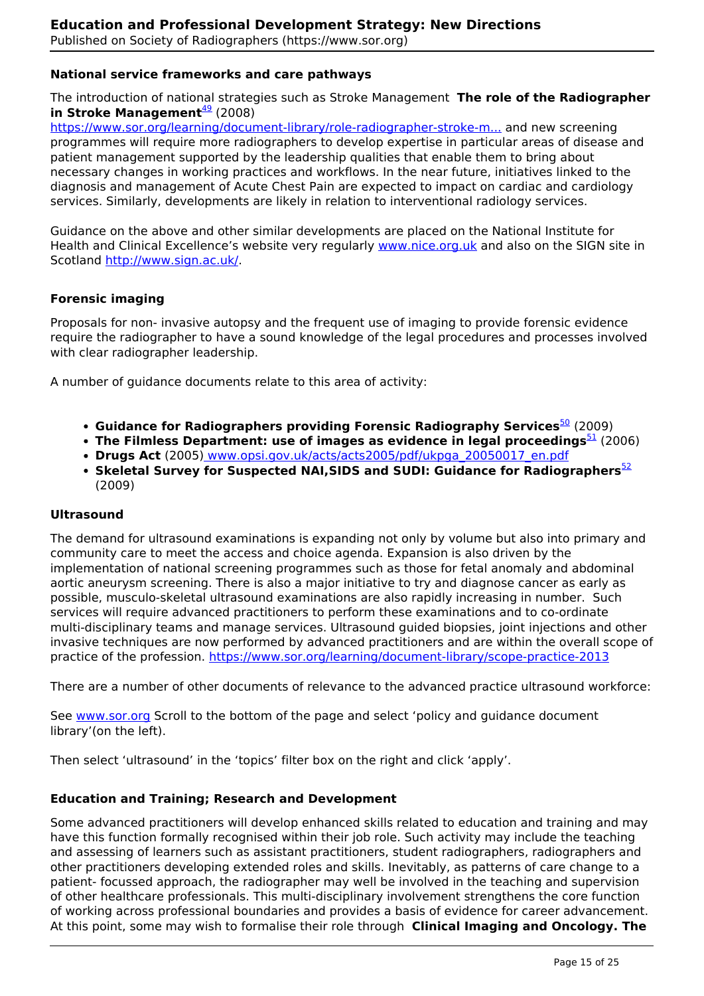## **National service frameworks and care pathways**

The introduction of national strategies such as Stroke Management **The role of the Radiographer in Stroke Management**<sup>49</sup> (2008)

https://www.sor.org/learning/document-library/role-radiographer-stroke-m... and new screening programmes will require more radiographers to develop expertise in particular areas of disease and patient management supported by the leadership qualities that enable them to bring about necessary changes in working practices and workflows. In the near future, initiatives linked to the diagnosis and management of Acute Chest Pain are expected to impact on cardiac and cardiology services. Similarly, developments are likely in relation to interventional radiology services.

Guidance on the above and other similar developments are placed on the National Institute for Health and Clinical Excellence's website very regularly www.nice.org.uk and also on the SIGN site in Scotland http://www.sign.ac.uk/.

#### **Forensic imaging**

Proposals for non- invasive autopsy and the frequent use of imaging to provide forensic evidence require the radiographer to have a sound knowledge of the legal procedures and processes involved with clear radiographer leadership.

A number of guidance documents relate to this area of activity:

- **Guidance for Radiographers providing Forensic Radiography Services<sup>50</sup> (2009)**
- **The Filmless Department: use of images as evidence in legal proceedings<sup>51</sup> (2006)**
- **Drugs Act** (2005) www.opsi.gov.uk/acts/acts2005/pdf/ukpga\_20050017\_en.pdf
- **Skeletal Survey for Suspected NAI, SIDS and SUDI: Guidance for Radiographers**<sup>52</sup> (2009)

#### **Ultrasound**

The demand for ultrasound examinations is expanding not only by volume but also into primary and community care to meet the access and choice agenda. Expansion is also driven by the implementation of national screening programmes such as those for fetal anomaly and abdominal aortic aneurysm screening. There is also a major initiative to try and diagnose cancer as early as possible, musculo-skeletal ultrasound examinations are also rapidly increasing in number. Such services will require advanced practitioners to perform these examinations and to co-ordinate multi-disciplinary teams and manage services. Ultrasound guided biopsies, joint injections and other invasive techniques are now performed by advanced practitioners and are within the overall scope of practice of the profession. https://www.sor.org/learning/document-library/scope-practice-2013

There are a number of other documents of relevance to the advanced practice ultrasound workforce:

See www.sor.org Scroll to the bottom of the page and select 'policy and guidance document library'(on the left).

Then select 'ultrasound' in the 'topics' filter box on the right and click 'apply'.

#### **Education and Training; Research and Development**

Some advanced practitioners will develop enhanced skills related to education and training and may have this function formally recognised within their job role. Such activity may include the teaching and assessing of learners such as assistant practitioners, student radiographers, radiographers and other practitioners developing extended roles and skills. Inevitably, as patterns of care change to a patient- focussed approach, the radiographer may well be involved in the teaching and supervision of other healthcare professionals. This multi-disciplinary involvement strengthens the core function of working across professional boundaries and provides a basis of evidence for career advancement. At this point, some may wish to formalise their role through **Clinical Imaging and Oncology. The**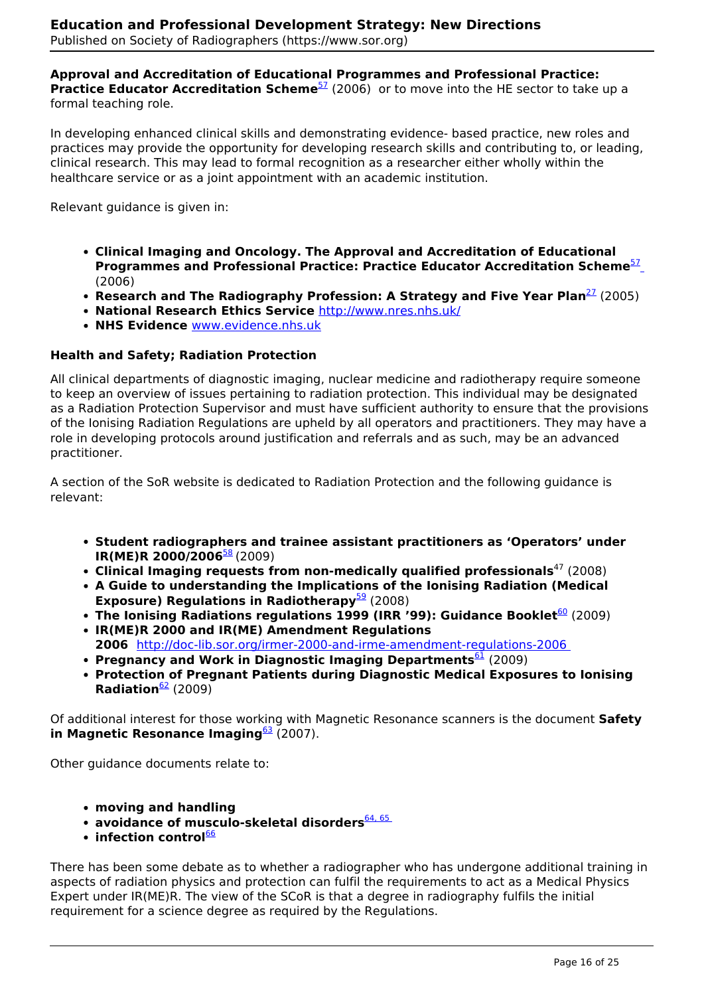#### **Approval and Accreditation of Educational Programmes and Professional Practice: Practice Educator Accreditation Scheme**<sup>57</sup> (2006) or to move into the HE sector to take up a formal teaching role.

In developing enhanced clinical skills and demonstrating evidence- based practice, new roles and practices may provide the opportunity for developing research skills and contributing to, or leading, clinical research. This may lead to formal recognition as a researcher either wholly within the healthcare service or as a joint appointment with an academic institution.

Relevant guidance is given in:

- **Clinical Imaging and Oncology. The Approval and Accreditation of Educational Programmes and Professional Practice: Practice Educator Accreditation Scheme**<sup>57</sup> (2006)
- **Research and The Radiography Profession: A Strategy and Five Year Plan<sup>27</sup> (2005)**
- **National Research Ethics Service** http://www.nres.nhs.uk/
- **NHS Evidence** www.evidence.nhs.uk

#### **Health and Safety; Radiation Protection**

All clinical departments of diagnostic imaging, nuclear medicine and radiotherapy require someone to keep an overview of issues pertaining to radiation protection. This individual may be designated as a Radiation Protection Supervisor and must have sufficient authority to ensure that the provisions of the Ionising Radiation Regulations are upheld by all operators and practitioners. They may have a role in developing protocols around justification and referrals and as such, may be an advanced practitioner.

A section of the SoR website is dedicated to Radiation Protection and the following guidance is relevant:

- **Student radiographers and trainee assistant practitioners as 'Operators' under IR(ME)R 2000/2006**<sup>58</sup> (2009)
- Clinical Imaging requests from non-medically qualified professionals<sup>47</sup> (2008)
- **A Guide to understanding the Implications of the Ionising Radiation (Medical Exposure) Regulations in Radiotherapy**<sup>59</sup> (2008)
- **The Ionising Radiations regulations 1999 (IRR '99): Guidance Booklet<sup>60</sup> (2009)**
- **IR(ME)R 2000 and IR(ME) Amendment Regulations 2006** http://doc-lib.sor.org/irmer-2000-and-irme-amendment-regulations-2006
- **Pregnancy and Work in Diagnostic Imaging Departments**<sup>61</sup> (2009)
- **Protection of Pregnant Patients during Diagnostic Medical Exposures to Ionising Radiation**<sup>62</sup> (2009)

Of additional interest for those working with Magnetic Resonance scanners is the document **Safety in Magnetic Resonance Imaging**<sup>63</sup> (2007).

Other guidance documents relate to:

- **moving and handling**
- **avoidance of musculo-skeletal disorders**<sup>64, 65</sup>
- **infection control**66

There has been some debate as to whether a radiographer who has undergone additional training in aspects of radiation physics and protection can fulfil the requirements to act as a Medical Physics Expert under IR(ME)R. The view of the SCoR is that a degree in radiography fulfils the initial requirement for a science degree as required by the Regulations.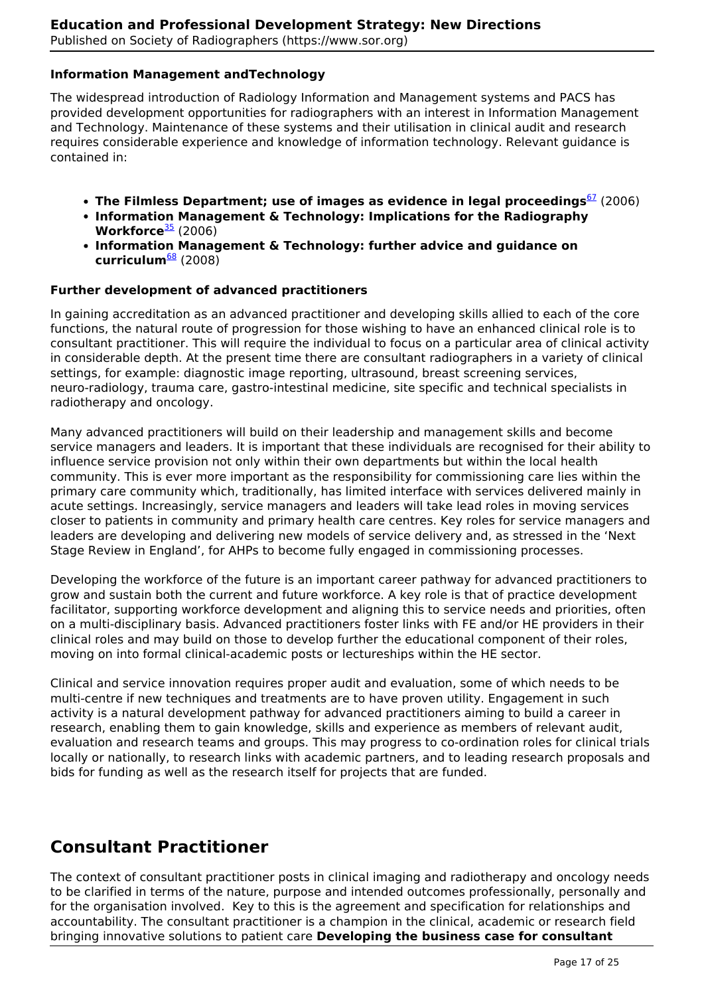## **Information Management andTechnology**

The widespread introduction of Radiology Information and Management systems and PACS has provided development opportunities for radiographers with an interest in Information Management and Technology. Maintenance of these systems and their utilisation in clinical audit and research requires considerable experience and knowledge of information technology. Relevant guidance is contained in:

- **The Filmless Department; use of images as evidence in legal proceedings**<sup>67</sup> (2006)
- **Information Management & Technology: Implications for the Radiography Workforce**<sup>35</sup> (2006)
- **Information Management & Technology: further advice and guidance on curriculum**<sup>68</sup> (2008)

## **Further development of advanced practitioners**

In gaining accreditation as an advanced practitioner and developing skills allied to each of the core functions, the natural route of progression for those wishing to have an enhanced clinical role is to consultant practitioner. This will require the individual to focus on a particular area of clinical activity in considerable depth. At the present time there are consultant radiographers in a variety of clinical settings, for example: diagnostic image reporting, ultrasound, breast screening services, neuro-radiology, trauma care, gastro-intestinal medicine, site specific and technical specialists in radiotherapy and oncology.

Many advanced practitioners will build on their leadership and management skills and become service managers and leaders. It is important that these individuals are recognised for their ability to influence service provision not only within their own departments but within the local health community. This is ever more important as the responsibility for commissioning care lies within the primary care community which, traditionally, has limited interface with services delivered mainly in acute settings. Increasingly, service managers and leaders will take lead roles in moving services closer to patients in community and primary health care centres. Key roles for service managers and leaders are developing and delivering new models of service delivery and, as stressed in the 'Next Stage Review in England', for AHPs to become fully engaged in commissioning processes.

Developing the workforce of the future is an important career pathway for advanced practitioners to grow and sustain both the current and future workforce. A key role is that of practice development facilitator, supporting workforce development and aligning this to service needs and priorities, often on a multi-disciplinary basis. Advanced practitioners foster links with FE and/or HE providers in their clinical roles and may build on those to develop further the educational component of their roles, moving on into formal clinical-academic posts or lectureships within the HE sector.

Clinical and service innovation requires proper audit and evaluation, some of which needs to be multi-centre if new techniques and treatments are to have proven utility. Engagement in such activity is a natural development pathway for advanced practitioners aiming to build a career in research, enabling them to gain knowledge, skills and experience as members of relevant audit, evaluation and research teams and groups. This may progress to co-ordination roles for clinical trials locally or nationally, to research links with academic partners, and to leading research proposals and bids for funding as well as the research itself for projects that are funded.

# **Consultant Practitioner**

The context of consultant practitioner posts in clinical imaging and radiotherapy and oncology needs to be clarified in terms of the nature, purpose and intended outcomes professionally, personally and for the organisation involved. Key to this is the agreement and specification for relationships and accountability. The consultant practitioner is a champion in the clinical, academic or research field bringing innovative solutions to patient care **Developing the business case for consultant**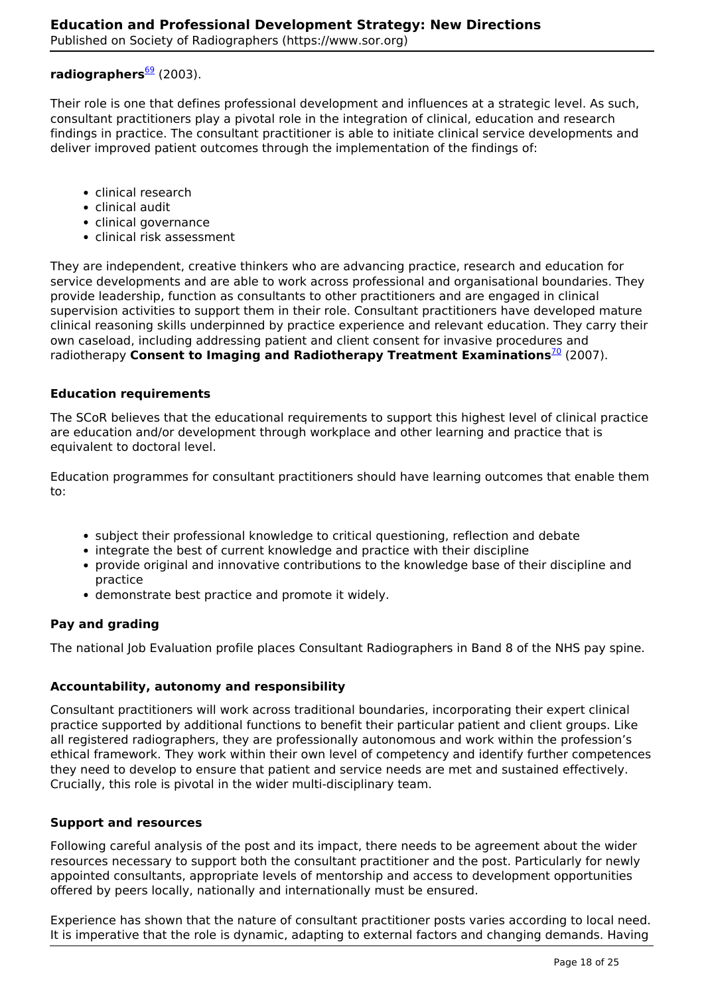## radiographers<sup>69</sup> (2003).

Their role is one that defines professional development and influences at a strategic level. As such, consultant practitioners play a pivotal role in the integration of clinical, education and research findings in practice. The consultant practitioner is able to initiate clinical service developments and deliver improved patient outcomes through the implementation of the findings of:

- clinical research
- clinical audit
- clinical governance
- clinical risk assessment

They are independent, creative thinkers who are advancing practice, research and education for service developments and are able to work across professional and organisational boundaries. They provide leadership, function as consultants to other practitioners and are engaged in clinical supervision activities to support them in their role. Consultant practitioners have developed mature clinical reasoning skills underpinned by practice experience and relevant education. They carry their own caseload, including addressing patient and client consent for invasive procedures and radiotherapy **Consent to Imaging and Radiotherapy Treatment Examinations**<sup>70</sup> (2007).

#### **Education requirements**

The SCoR believes that the educational requirements to support this highest level of clinical practice are education and/or development through workplace and other learning and practice that is equivalent to doctoral level.

Education programmes for consultant practitioners should have learning outcomes that enable them to:

- subject their professional knowledge to critical questioning, reflection and debate
- integrate the best of current knowledge and practice with their discipline
- provide original and innovative contributions to the knowledge base of their discipline and practice
- demonstrate best practice and promote it widely.

#### **Pay and grading**

The national Job Evaluation profile places Consultant Radiographers in Band 8 of the NHS pay spine.

#### **Accountability, autonomy and responsibility**

Consultant practitioners will work across traditional boundaries, incorporating their expert clinical practice supported by additional functions to benefit their particular patient and client groups. Like all registered radiographers, they are professionally autonomous and work within the profession's ethical framework. They work within their own level of competency and identify further competences they need to develop to ensure that patient and service needs are met and sustained effectively. Crucially, this role is pivotal in the wider multi-disciplinary team.

#### **Support and resources**

Following careful analysis of the post and its impact, there needs to be agreement about the wider resources necessary to support both the consultant practitioner and the post. Particularly for newly appointed consultants, appropriate levels of mentorship and access to development opportunities offered by peers locally, nationally and internationally must be ensured.

Experience has shown that the nature of consultant practitioner posts varies according to local need. It is imperative that the role is dynamic, adapting to external factors and changing demands. Having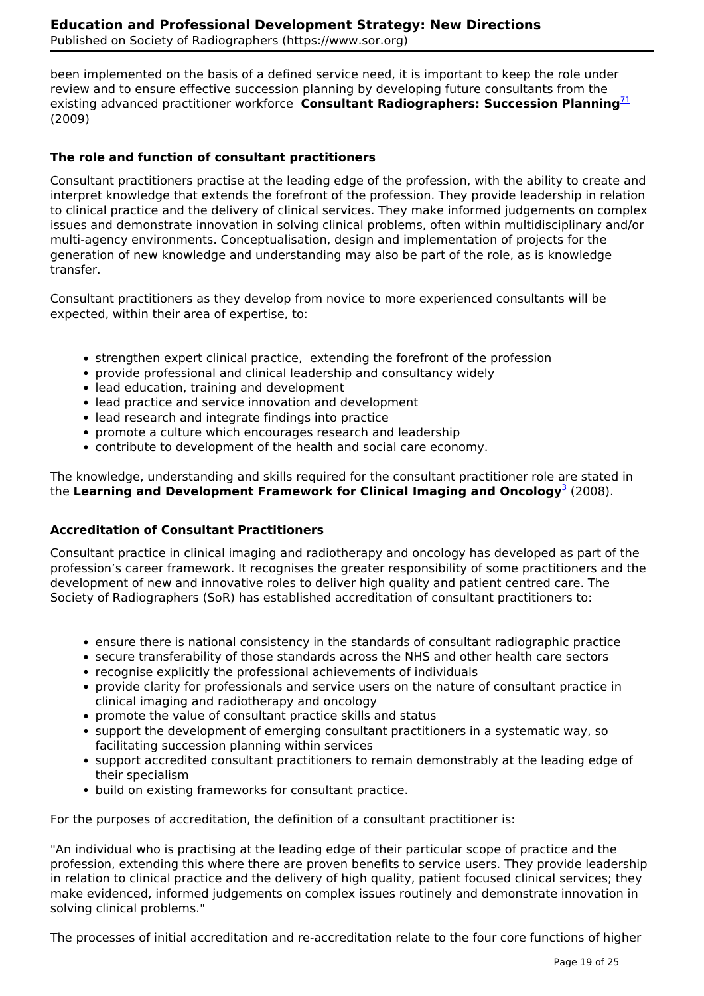been implemented on the basis of a defined service need, it is important to keep the role under review and to ensure effective succession planning by developing future consultants from the existing advanced practitioner workforce **Consultant Radiographers: Succession Planning**<sup>71</sup> (2009)

## **The role and function of consultant practitioners**

Consultant practitioners practise at the leading edge of the profession, with the ability to create and interpret knowledge that extends the forefront of the profession. They provide leadership in relation to clinical practice and the delivery of clinical services. They make informed judgements on complex issues and demonstrate innovation in solving clinical problems, often within multidisciplinary and/or multi-agency environments. Conceptualisation, design and implementation of projects for the generation of new knowledge and understanding may also be part of the role, as is knowledge transfer.

Consultant practitioners as they develop from novice to more experienced consultants will be expected, within their area of expertise, to:

- strengthen expert clinical practice, extending the forefront of the profession
- provide professional and clinical leadership and consultancy widely
- lead education, training and development
- lead practice and service innovation and development
- lead research and integrate findings into practice
- promote a culture which encourages research and leadership
- contribute to development of the health and social care economy.

The knowledge, understanding and skills required for the consultant practitioner role are stated in the Learning and Development Framework for Clinical Imaging and Oncology<sup>3</sup> (2008).

## **Accreditation of Consultant Practitioners**

Consultant practice in clinical imaging and radiotherapy and oncology has developed as part of the profession's career framework. It recognises the greater responsibility of some practitioners and the development of new and innovative roles to deliver high quality and patient centred care. The Society of Radiographers (SoR) has established accreditation of consultant practitioners to:

- ensure there is national consistency in the standards of consultant radiographic practice
- secure transferability of those standards across the NHS and other health care sectors
- recognise explicitly the professional achievements of individuals
- provide clarity for professionals and service users on the nature of consultant practice in clinical imaging and radiotherapy and oncology
- promote the value of consultant practice skills and status
- support the development of emerging consultant practitioners in a systematic way, so facilitating succession planning within services
- support accredited consultant practitioners to remain demonstrably at the leading edge of their specialism
- build on existing frameworks for consultant practice.

For the purposes of accreditation, the definition of a consultant practitioner is:

"An individual who is practising at the leading edge of their particular scope of practice and the profession, extending this where there are proven benefits to service users. They provide leadership in relation to clinical practice and the delivery of high quality, patient focused clinical services; they make evidenced, informed judgements on complex issues routinely and demonstrate innovation in solving clinical problems."

The processes of initial accreditation and re-accreditation relate to the four core functions of higher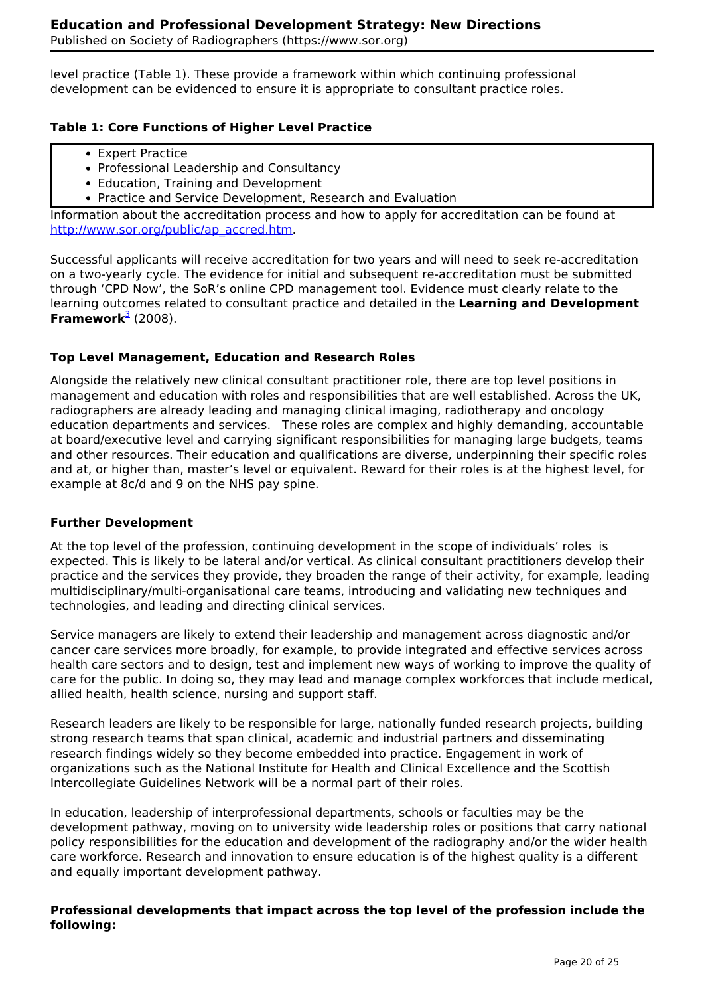level practice (Table 1). These provide a framework within which continuing professional development can be evidenced to ensure it is appropriate to consultant practice roles.

## **Table 1: Core Functions of Higher Level Practice**

- Expert Practice
- Professional Leadership and Consultancy
- Education, Training and Development
- Practice and Service Development, Research and Evaluation

Information about the accreditation process and how to apply for accreditation can be found at http://www.sor.org/public/ap\_accred.htm.

Successful applicants will receive accreditation for two years and will need to seek re-accreditation on a two-yearly cycle. The evidence for initial and subsequent re-accreditation must be submitted through 'CPD Now', the SoR's online CPD management tool. Evidence must clearly relate to the learning outcomes related to consultant practice and detailed in the **Learning and Development Framework**<sup>3</sup> (2008).

## **Top Level Management, Education and Research Roles**

Alongside the relatively new clinical consultant practitioner role, there are top level positions in management and education with roles and responsibilities that are well established. Across the UK, radiographers are already leading and managing clinical imaging, radiotherapy and oncology education departments and services. These roles are complex and highly demanding, accountable at board/executive level and carrying significant responsibilities for managing large budgets, teams and other resources. Their education and qualifications are diverse, underpinning their specific roles and at, or higher than, master's level or equivalent. Reward for their roles is at the highest level, for example at 8c/d and 9 on the NHS pay spine.

## **Further Development**

At the top level of the profession, continuing development in the scope of individuals' roles is expected. This is likely to be lateral and/or vertical. As clinical consultant practitioners develop their practice and the services they provide, they broaden the range of their activity, for example, leading multidisciplinary/multi-organisational care teams, introducing and validating new techniques and technologies, and leading and directing clinical services.

Service managers are likely to extend their leadership and management across diagnostic and/or cancer care services more broadly, for example, to provide integrated and effective services across health care sectors and to design, test and implement new ways of working to improve the quality of care for the public. In doing so, they may lead and manage complex workforces that include medical, allied health, health science, nursing and support staff.

Research leaders are likely to be responsible for large, nationally funded research projects, building strong research teams that span clinical, academic and industrial partners and disseminating research findings widely so they become embedded into practice. Engagement in work of organizations such as the National Institute for Health and Clinical Excellence and the Scottish Intercollegiate Guidelines Network will be a normal part of their roles.

In education, leadership of interprofessional departments, schools or faculties may be the development pathway, moving on to university wide leadership roles or positions that carry national policy responsibilities for the education and development of the radiography and/or the wider health care workforce. Research and innovation to ensure education is of the highest quality is a different and equally important development pathway.

## **Professional developments that impact across the top level of the profession include the following:**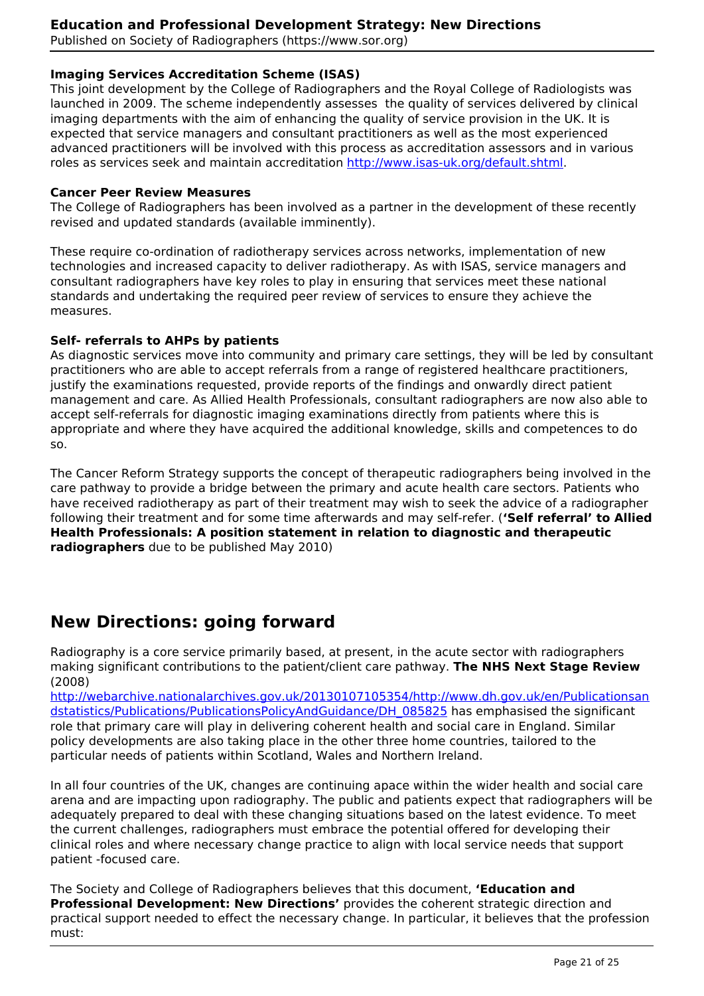Published on Society of Radiographers (https://www.sor.org)

## **Imaging Services Accreditation Scheme (ISAS)**

This joint development by the College of Radiographers and the Royal College of Radiologists was launched in 2009. The scheme independently assesses the quality of services delivered by clinical imaging departments with the aim of enhancing the quality of service provision in the UK. It is expected that service managers and consultant practitioners as well as the most experienced advanced practitioners will be involved with this process as accreditation assessors and in various roles as services seek and maintain accreditation http://www.isas-uk.org/default.shtml.

#### **Cancer Peer Review Measures**

The College of Radiographers has been involved as a partner in the development of these recently revised and updated standards (available imminently).

These require co-ordination of radiotherapy services across networks, implementation of new technologies and increased capacity to deliver radiotherapy. As with ISAS, service managers and consultant radiographers have key roles to play in ensuring that services meet these national standards and undertaking the required peer review of services to ensure they achieve the measures.

#### **Self- referrals to AHPs by patients**

As diagnostic services move into community and primary care settings, they will be led by consultant practitioners who are able to accept referrals from a range of registered healthcare practitioners, justify the examinations requested, provide reports of the findings and onwardly direct patient management and care. As Allied Health Professionals, consultant radiographers are now also able to accept self-referrals for diagnostic imaging examinations directly from patients where this is appropriate and where they have acquired the additional knowledge, skills and competences to do so.

The Cancer Reform Strategy supports the concept of therapeutic radiographers being involved in the care pathway to provide a bridge between the primary and acute health care sectors. Patients who have received radiotherapy as part of their treatment may wish to seek the advice of a radiographer following their treatment and for some time afterwards and may self-refer. (**'Self referral' to Allied Health Professionals: A position statement in relation to diagnostic and therapeutic radiographers** due to be published May 2010)

## **New Directions: going forward**

Radiography is a core service primarily based, at present, in the acute sector with radiographers making significant contributions to the patient/client care pathway. **The NHS Next Stage Review** (2008)

http://webarchive.nationalarchives.gov.uk/20130107105354/http://www.dh.gov.uk/en/Publicationsan dstatistics/Publications/PublicationsPolicyAndGuidance/DH\_085825 has emphasised the significant role that primary care will play in delivering coherent health and social care in England. Similar policy developments are also taking place in the other three home countries, tailored to the particular needs of patients within Scotland, Wales and Northern Ireland.

In all four countries of the UK, changes are continuing apace within the wider health and social care arena and are impacting upon radiography. The public and patients expect that radiographers will be adequately prepared to deal with these changing situations based on the latest evidence. To meet the current challenges, radiographers must embrace the potential offered for developing their clinical roles and where necessary change practice to align with local service needs that support patient -focused care.

The Society and College of Radiographers believes that this document, **'Education and Professional Development: New Directions'** provides the coherent strategic direction and practical support needed to effect the necessary change. In particular, it believes that the profession must: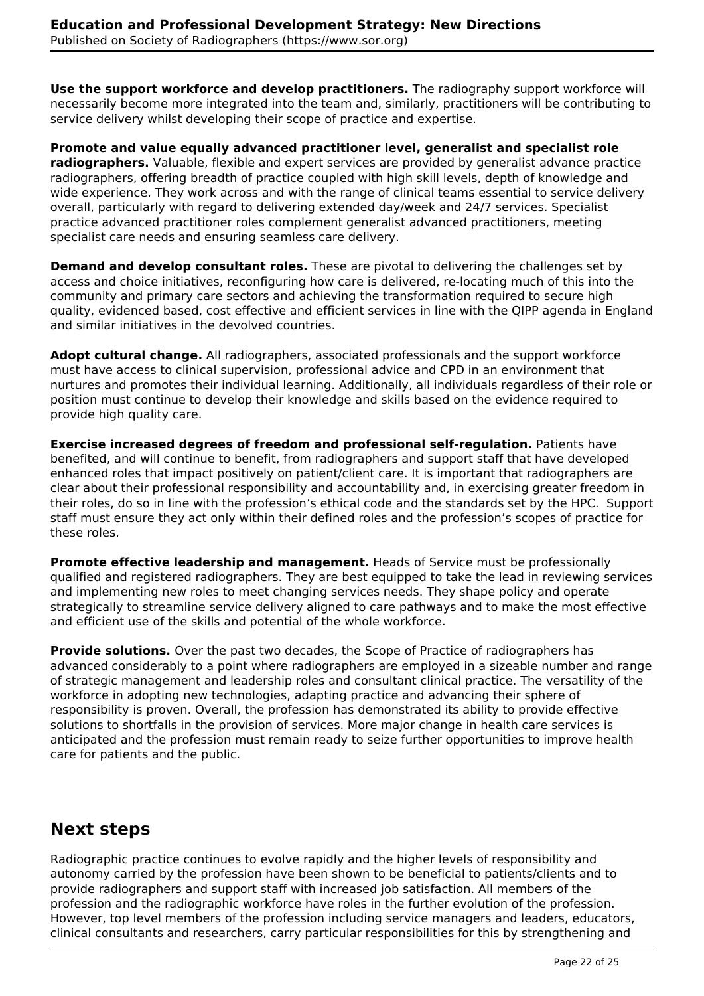**Use the support workforce and develop practitioners.** The radiography support workforce will necessarily become more integrated into the team and, similarly, practitioners will be contributing to service delivery whilst developing their scope of practice and expertise.

**Promote and value equally advanced practitioner level, generalist and specialist role radiographers.** Valuable, flexible and expert services are provided by generalist advance practice radiographers, offering breadth of practice coupled with high skill levels, depth of knowledge and wide experience. They work across and with the range of clinical teams essential to service delivery overall, particularly with regard to delivering extended day/week and 24/7 services. Specialist practice advanced practitioner roles complement generalist advanced practitioners, meeting specialist care needs and ensuring seamless care delivery.

**Demand and develop consultant roles.** These are pivotal to delivering the challenges set by access and choice initiatives, reconfiguring how care is delivered, re-locating much of this into the community and primary care sectors and achieving the transformation required to secure high quality, evidenced based, cost effective and efficient services in line with the QIPP agenda in England and similar initiatives in the devolved countries.

**Adopt cultural change.** All radiographers, associated professionals and the support workforce must have access to clinical supervision, professional advice and CPD in an environment that nurtures and promotes their individual learning. Additionally, all individuals regardless of their role or position must continue to develop their knowledge and skills based on the evidence required to provide high quality care.

**Exercise increased degrees of freedom and professional self-regulation.** Patients have benefited, and will continue to benefit, from radiographers and support staff that have developed enhanced roles that impact positively on patient/client care. It is important that radiographers are clear about their professional responsibility and accountability and, in exercising greater freedom in their roles, do so in line with the profession's ethical code and the standards set by the HPC. Support staff must ensure they act only within their defined roles and the profession's scopes of practice for these roles.

**Promote effective leadership and management.** Heads of Service must be professionally qualified and registered radiographers. They are best equipped to take the lead in reviewing services and implementing new roles to meet changing services needs. They shape policy and operate strategically to streamline service delivery aligned to care pathways and to make the most effective and efficient use of the skills and potential of the whole workforce.

**Provide solutions.** Over the past two decades, the Scope of Practice of radiographers has advanced considerably to a point where radiographers are employed in a sizeable number and range of strategic management and leadership roles and consultant clinical practice. The versatility of the workforce in adopting new technologies, adapting practice and advancing their sphere of responsibility is proven. Overall, the profession has demonstrated its ability to provide effective solutions to shortfalls in the provision of services. More major change in health care services is anticipated and the profession must remain ready to seize further opportunities to improve health care for patients and the public.

# **Next steps**

Radiographic practice continues to evolve rapidly and the higher levels of responsibility and autonomy carried by the profession have been shown to be beneficial to patients/clients and to provide radiographers and support staff with increased job satisfaction. All members of the profession and the radiographic workforce have roles in the further evolution of the profession. However, top level members of the profession including service managers and leaders, educators, clinical consultants and researchers, carry particular responsibilities for this by strengthening and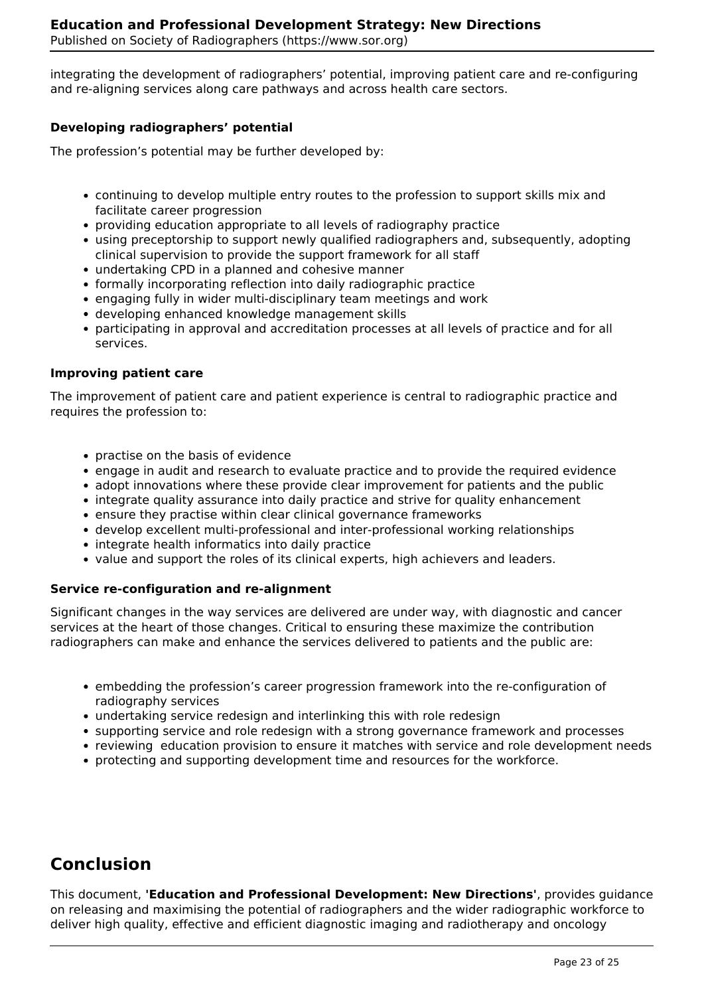integrating the development of radiographers' potential, improving patient care and re-configuring and re-aligning services along care pathways and across health care sectors.

## **Developing radiographers' potential**

The profession's potential may be further developed by:

- continuing to develop multiple entry routes to the profession to support skills mix and facilitate career progression
- providing education appropriate to all levels of radiography practice
- using preceptorship to support newly qualified radiographers and, subsequently, adopting clinical supervision to provide the support framework for all staff
- undertaking CPD in a planned and cohesive manner
- formally incorporating reflection into daily radiographic practice
- engaging fully in wider multi-disciplinary team meetings and work
- developing enhanced knowledge management skills
- participating in approval and accreditation processes at all levels of practice and for all services.

#### **Improving patient care**

The improvement of patient care and patient experience is central to radiographic practice and requires the profession to:

- practise on the basis of evidence
- engage in audit and research to evaluate practice and to provide the required evidence
- adopt innovations where these provide clear improvement for patients and the public
- integrate quality assurance into daily practice and strive for quality enhancement
- ensure they practise within clear clinical governance frameworks
- develop excellent multi-professional and inter-professional working relationships
- integrate health informatics into daily practice
- value and support the roles of its clinical experts, high achievers and leaders.

## **Service re-configuration and re-alignment**

Significant changes in the way services are delivered are under way, with diagnostic and cancer services at the heart of those changes. Critical to ensuring these maximize the contribution radiographers can make and enhance the services delivered to patients and the public are:

- embedding the profession's career progression framework into the re-configuration of radiography services
- undertaking service redesign and interlinking this with role redesign
- supporting service and role redesign with a strong governance framework and processes
- reviewing education provision to ensure it matches with service and role development needs
- protecting and supporting development time and resources for the workforce.

## **Conclusion**

This document, **'Education and Professional Development: New Directions'**, provides guidance on releasing and maximising the potential of radiographers and the wider radiographic workforce to deliver high quality, effective and efficient diagnostic imaging and radiotherapy and oncology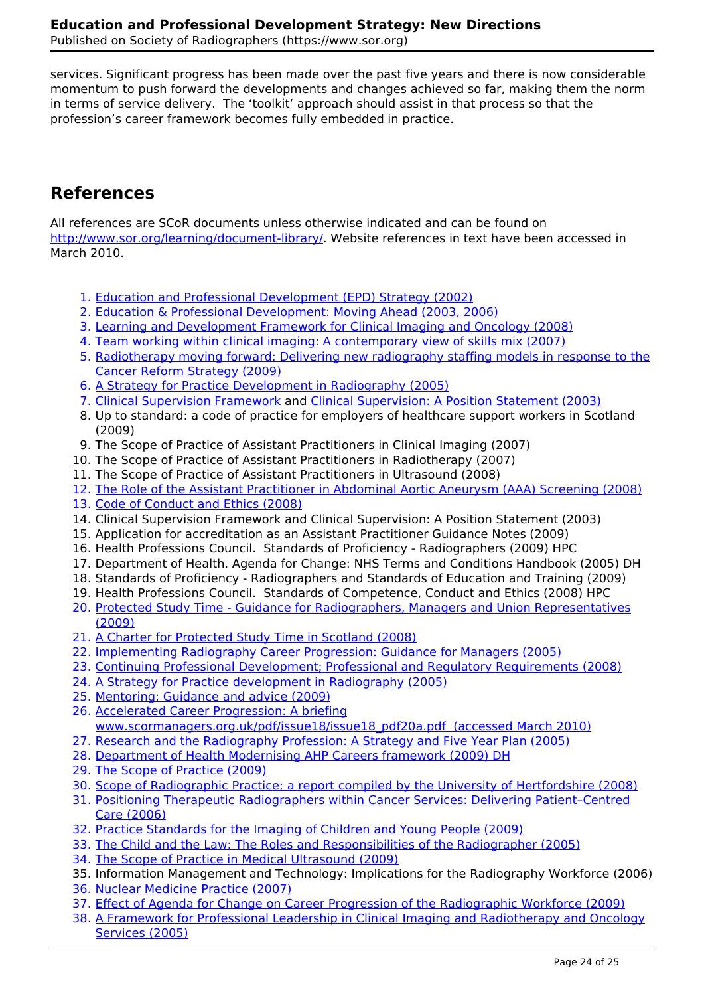services. Significant progress has been made over the past five years and there is now considerable momentum to push forward the developments and changes achieved so far, making them the norm in terms of service delivery. The 'toolkit' approach should assist in that process so that the profession's career framework becomes fully embedded in practice.

# **References**

All references are SCoR documents unless otherwise indicated and can be found on http://www.sor.org/learning/document-library/. Website references in text have been accessed in March 2010.

- 1. Education and Professional Development (EPD) Strategy (2002)
- 2. Education & Professional Development: Moving Ahead (2003, 2006)
- 3. Learning and Development Framework for Clinical Imaging and Oncology (2008)
- 4. Team working within clinical imaging: A contemporary view of skills mix (2007)
- 5. Radiotherapy moving forward: Delivering new radiography staffing models in response to the Cancer Reform Strategy (2009)
- 6. A Strategy for Practice Development in Radiography (2005)
- 7. Clinical Supervision Framework and Clinical Supervision: A Position Statement (2003)
- 8. Up to standard: a code of practice for employers of healthcare support workers in Scotland (2009)
- 9. The Scope of Practice of Assistant Practitioners in Clinical Imaging (2007)
- 10. The Scope of Practice of Assistant Practitioners in Radiotherapy (2007)
- 11. The Scope of Practice of Assistant Practitioners in Ultrasound (2008)
- 12. The Role of the Assistant Practitioner in Abdominal Aortic Aneurysm (AAA) Screening (2008)
- 13. Code of Conduct and Ethics (2008)
- 14. Clinical Supervision Framework and Clinical Supervision: A Position Statement (2003)
- 15. Application for accreditation as an Assistant Practitioner Guidance Notes (2009)
- 16. Health Professions Council. Standards of Proficiency Radiographers (2009) HPC
- 17. Department of Health. Agenda for Change: NHS Terms and Conditions Handbook (2005) DH
- 18. Standards of Proficiency Radiographers and Standards of Education and Training (2009)
- 19. Health Professions Council. Standards of Competence, Conduct and Ethics (2008) HPC
- 20. Protected Study Time Guidance for Radiographers, Managers and Union Representatives (2009)
- 21. A Charter for Protected Study Time in Scotland (2008)
- 22. Implementing Radiography Career Progression: Guidance for Managers (2005)
- 23. Continuing Professional Development; Professional and Regulatory Requirements (2008)
- 24. A Strategy for Practice development in Radiography (2005)
- 25. Mentoring: Guidance and advice (2009)
- 26. Accelerated Career Progression: A briefing www.scormanagers.org.uk/pdf/issue18/issue18\_pdf20a.pdf (accessed March 2010)
- 27. Research and the Radiography Profession: A Strategy and Five Year Plan (2005)
- 28. Department of Health Modernising AHP Careers framework (2009) DH
- 29. The Scope of Practice (2009)
- 30. Scope of Radiographic Practice; a report compiled by the University of Hertfordshire (2008)
- 31. Positioning Therapeutic Radiographers within Cancer Services: Delivering Patient–Centred Care (2006)
- 32. Practice Standards for the Imaging of Children and Young People (2009)
- 33. The Child and the Law: The Roles and Responsibilities of the Radiographer (2005)
- 34. The Scope of Practice in Medical Ultrasound (2009)
- 35. Information Management and Technology: Implications for the Radiography Workforce (2006)
- 36. Nuclear Medicine Practice (2007)
- 37. Effect of Agenda for Change on Career Progression of the Radiographic Workforce (2009)
- 38. A Framework for Professional Leadership in Clinical Imaging and Radiotherapy and Oncology Services (2005)